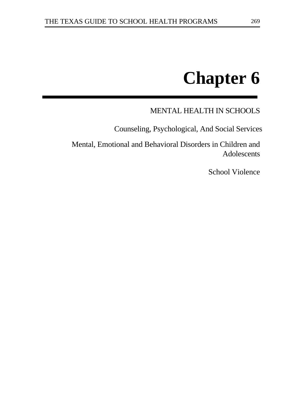

MENTAL HEALTH IN SCHOOLS

Counseling, Psychological, And Social Services

Mental, Emotional and Behavioral Disorders in Children and Adolescents

School Violence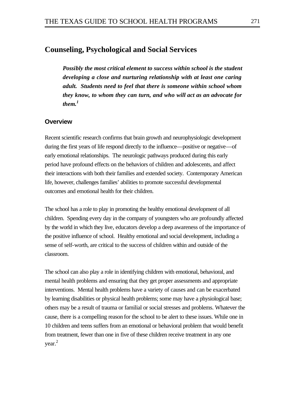# **Counseling, Psychological and Social Services**

*Possibly the most critical element to success within school is the student developing a close and nurturing relationship with at least one caring adult. Students need to feel that there is someone within school whom they know, to whom they can turn, and who will act as an advocate for them.<sup>1</sup>*

### **Overview**

Recent scientific research confirms that brain growth and neurophysiologic development during the first years of life respond directly to the influence—positive or negative—of early emotional relationships. The neurologic pathways produced during this early period have profound effects on the behaviors of children and adolescents, and affect their interactions with both their families and extended society. Contemporary American life, however, challenges families' abilities to promote successful developmental outcomes and emotional health for their children.

The school has a role to play in promoting the healthy emotional development of all children. Spending every day in the company of youngsters who are profoundly affected by the world in which they live, educators develop a deep awareness of the importance of the positive influence of school. Healthy emotional and social development, including a sense of self-worth, are critical to the success of children within and outside of the classroom.

The school can also play a role in identifying children with emotional, behavioral, and mental health problems and ensuring that they get proper assessments and appropriate interventions. Mental health problems have a variety of causes and can be exacerbated by learning disabilities or physical health problems; some may have a physiological base; others may be a result of trauma or familial or social stresses and problems. Whatever the cause, there is a compelling reason for the school to be alert to these issues. While one in 10 children and teens suffers from an emotional or behavioral problem that would benefit from treatment, fewer than one in five of these children receive treatment in any one year.<sup>2</sup>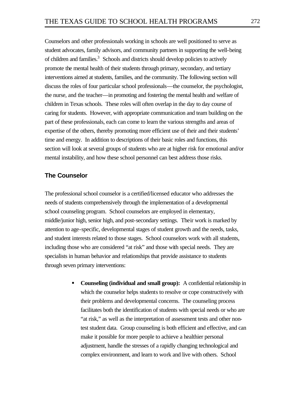Counselors and other professionals working in schools are well positioned to serve as student advocates, family advisors, and community partners in supporting the well-being of children and families.<sup>3</sup> Schools and districts should develop policies to actively promote the mental health of their students through primary, secondary, and tertiary interventions aimed at students, families, and the community. The following section will discuss the roles of four particular school professionals—the counselor, the psychologist, the nurse, and the teacher—in promoting and fostering the mental health and welfare of children in Texas schools. These roles will often overlap in the day to day course of caring for students. However, with appropriate communication and team building on the part of these professionals, each can come to learn the various strengths and areas of expertise of the others, thereby promoting more efficient use of their and their students' time and energy. In addition to descriptions of their basic roles and functions, this section will look at several groups of students who are at higher risk for emotional and/or mental instability, and how these school personnel can best address those risks.

## **The Counselor**

The professional school counselor is a certified/licensed educator who addresses the needs of students comprehensively through the implementation of a developmental school counseling program. School counselors are employed in elementary, middle/junior high, senior high, and post-secondary settings. Their work is marked by attention to age-specific, developmental stages of student growth and the needs, tasks, and student interests related to those stages. School counselors work with all students, including those who are considered "at risk" and those with special needs. They are specialists in human behavior and relationships that provide assistance to students through seven primary interventions:

> **Counseling (individual and small group):** A confidential relationship in which the counselor helps students to resolve or cope constructively with their problems and developmental concerns. The counseling process facilitates both the identification of students with special needs or who are "at risk," as well as the interpretation of assessment tests and other nontest student data. Group counseling is both efficient and effective, and can make it possible for more people to achieve a healthier personal adjustment, handle the stresses of a rapidly changing technological and complex environment, and learn to work and live with others. School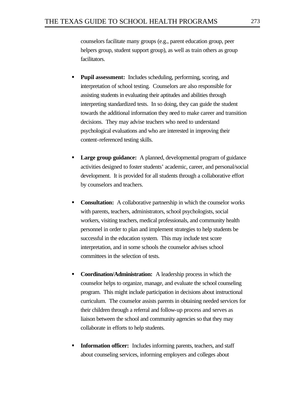counselors facilitate many groups (e.g., parent education group, peer helpers group, student support group), as well as train others as group facilitators.

- **Pupil assessment:** Includes scheduling, performing, scoring, and interpretation of school testing. Counselors are also responsible for assisting students in evaluating their aptitudes and abilities through interpreting standardized tests. In so doing, they can guide the student towards the additional information they need to make career and transition decisions. They may advise teachers who need to understand psychological evaluations and who are interested in improving their content-referenced testing skills.
- **Large group guidance:** A planned, developmental program of guidance activities designed to foster students' academic, career, and personal/social development. It is provided for all students through a collaborative effort by counselors and teachers.
- ß **Consultation:** A collaborative partnership in which the counselor works with parents, teachers, administrators, school psychologists, social workers, visiting teachers, medical professionals, and community health personnel in order to plan and implement strategies to help students be successful in the education system. This may include test score interpretation, and in some schools the counselor advises school committees in the selection of tests.
- ß **Coordination/Administration:** A leadership process in which the counselor helps to organize, manage, and evaluate the school counseling program. This might include participation in decisions about instructional curriculum. The counselor assists parents in obtaining needed services for their children through a referral and follow-up process and serves as liaison between the school and community agencies so that they may collaborate in efforts to help students.
- **Information officer:** Includes informing parents, teachers, and staff about counseling services, informing employers and colleges about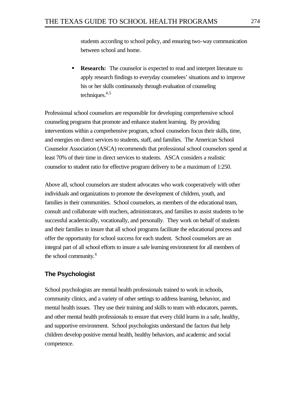students according to school policy, and ensuring two-way communication between school and home.

**Research:** The counselor is expected to read and interpret literature to apply research findings to everyday counselees' situations and to improve his or her skills continuously through evaluation of counseling techniques. $4,5$ 

Professional school counselors are responsible for developing comprehensive school counseling programs that promote and enhance student learning. By providing interventions within a comprehensive program, school counselors focus their skills, time, and energies on direct services to students, staff, and families. The American School Counselor Association (ASCA) recommends that professional school counselors spend at least 70% of their time in direct services to students. ASCA considers a realistic counselor to student ratio for effective program delivery to be a maximum of 1:250.

Above all, school counselors are student advocates who work cooperatively with other individuals and organizations to promote the development of children, youth, and families in their communities. School counselors, as members of the educational team, consult and collaborate with teachers, administrators, and families to assist students to be successful academically, vocationally, and personally. They work on behalf of students and their families to insure that all school programs facilitate the educational process and offer the opportunity for school success for each student. School counselors are an integral part of all school efforts to insure a safe learning environment for all members of the school community.<sup>6</sup>

## **The Psychologist**

School psychologists are mental health professionals trained to work in schools, community clinics, and a variety of other settings to address learning, behavior, and mental health issues. They use their training and skills to team with educators, parents, and other mental health professionals to ensure that every child learns in a safe, healthy, and supportive environment. School psychologists understand the factors that help children develop positive mental health, healthy behaviors, and academic and social competence.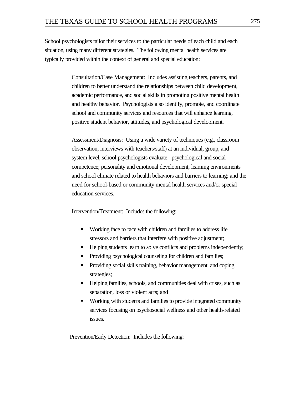School psychologists tailor their services to the particular needs of each child and each situation, using many different strategies. The following mental health services are typically provided within the context of general and special education:

> Consultation/Case Management: Includes assisting teachers, parents, and children to better understand the relationships between child development, academic performance, and social skills in promoting positive mental health and healthy behavior. Psychologists also identify, promote, and coordinate school and community services and resources that will enhance learning, positive student behavior, attitudes, and psychological development.

Assessment/Diagnosis: Using a wide variety of techniques (e.g., classroom observation, interviews with teachers/staff) at an individual, group, and system level, school psychologists evaluate: psychological and social competence; personality and emotional development; learning environments and school climate related to health behaviors and barriers to learning; and the need for school-based or community mental health services and/or special education services.

Intervention/Treatment: Includes the following:

- Working face to face with children and families to address life stressors and barriers that interfere with positive adjustment;
- ß Helping students learn to solve conflicts and problems independently;
- ß Providing psychological counseling for children and families;
- ß Providing social skills training, behavior management, and coping strategies;
- ß Helping families, schools, and communities deal with crises, such as separation, loss or violent acts; and
- ß Working with students and families to provide integrated community services focusing on psychosocial wellness and other health-related issues.

Prevention/Early Detection: Includes the following: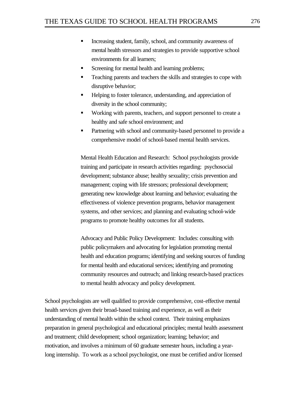- **EXECUTE:** Increasing student, family, school, and community awareness of mental health stressors and strategies to provide supportive school environments for all learners;
- Screening for mental health and learning problems;
- ß Teaching parents and teachers the skills and strategies to cope with disruptive behavior;
- ß Helping to foster tolerance, understanding, and appreciation of diversity in the school community;
- ß Working with parents, teachers, and support personnel to create a healthy and safe school environment; and
- ß Partnering with school and community-based personnel to provide a comprehensive model of school-based mental health services.

Mental Health Education and Research: School psychologists provide training and participate in research activities regarding: psychosocial development; substance abuse; healthy sexuality; crisis prevention and management; coping with life stressors; professional development; generating new knowledge about learning and behavior; evaluating the effectiveness of violence prevention programs, behavior management systems, and other services; and planning and evaluating school-wide programs to promote healthy outcomes for all students.

Advocacy and Public Policy Development: Includes: consulting with public policymakers and advocating for legislation promoting mental health and education programs; identifying and seeking sources of funding for mental health and educational services; identifying and promoting community resources and outreach; and linking research-based practices to mental health advocacy and policy development.

School psychologists are well qualified to provide comprehensive, cost-effective mental health services given their broad-based training and experience, as well as their understanding of mental health within the school context. Their training emphasizes preparation in general psychological and educational principles; mental health assessment and treatment; child development; school organization; learning; behavior; and motivation, and involves a minimum of 60 graduate semester hours, including a yearlong internship. To work as a school psychologist, one must be certified and/or licensed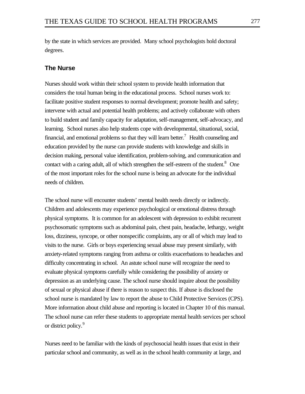by the state in which services are provided. Many school psychologists hold doctoral degrees.

## **The Nurse**

Nurses should work within their school system to provide health information that considers the total human being in the educational process. School nurses work to: facilitate positive student responses to normal development; promote health and safety; intervene with actual and potential health problems; and actively collaborate with others to build student and family capacity for adaptation, self-management, self-advocacy, and learning. School nurses also help students cope with developmental, situational, social, financial, and emotional problems so that they will learn better.<sup>7</sup> Health counseling and education provided by the nurse can provide students with knowledge and skills in decision making, personal value identification, problem-solving, and communication and contact with a caring adult, all of which strengthen the self-esteem of the student.<sup>8</sup> One of the most important roles for the school nurse is being an advocate for the individual needs of children.

The school nurse will encounter students' mental health needs directly or indirectly. Children and adolescents may experience psychological or emotional distress through physical symptoms. It is common for an adolescent with depression to exhibit recurrent psychosomatic symptoms such as abdominal pain, chest pain, headache, lethargy, weight loss, dizziness, syncope, or other nonspecific complaints, any or all of which may lead to visits to the nurse. Girls or boys experiencing sexual abuse may present similarly, with anxiety-related symptoms ranging from asthma or colitis exacerbations to headaches and difficulty concentrating in school. An astute school nurse will recognize the need to evaluate physical symptoms carefully while considering the possibility of anxiety or depression as an underlying cause. The school nurse should inquire about the possibility of sexual or physical abuse if there is reason to suspect this. If abuse is disclosed the school nurse is mandated by law to report the abuse to Child Protective Services (CPS). More information about child abuse and reporting is located in Chapter 10 of this manual. The school nurse can refer these students to appropriate mental health services per school or district policy.<sup>9</sup>

Nurses need to be familiar with the kinds of psychosocial health issues that exist in their particular school and community, as well as in the school health community at large, and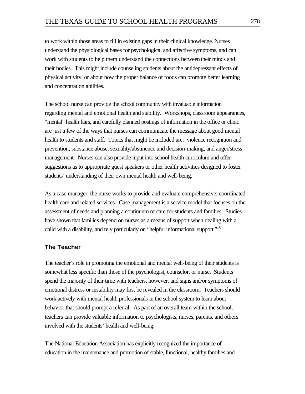to work within those areas to fill in existing gaps in their clinical knowledge. Nurses understand the physiological bases for psychological and affective symptoms, and can work with students to help them understand the connections between their minds and their bodies. This might include counseling students about the antidepressant effects of physical activity, or about how the proper balance of foods can promote better learning and concentration abilities.

The school nurse can provide the school community with invaluable information regarding mental and emotional health and stability. Workshops, classroom appearances, "mental" health fairs, and carefully planned postings of information in the office or clinic are just a few of the ways that nurses can communicate the message about good mental health to students and staff. Topics that might be included are: violence recognition and prevention, substance abuse, sexuality/abstinence and decision-making, and anger/stress management. Nurses can also provide input into school health curriculum and offer suggestions as to appropriate guest speakers or other health activities designed to foster students' understanding of their own mental health and well-being.

As a case manager, the nurse works to provide and evaluate comprehensive, coordinated health care and related services. Case management is a service model that focuses on the assessment of needs and planning a continuum of care for students and families. Studies have shown that families depend on nurses as a means of support when dealing with a child with a disability, and rely particularly on "helpful informational support."<sup>10</sup>

## **The Teacher**

The teacher's role in promoting the emotional and mental well-being of their students is somewhat less specific than those of the psychologist, counselor, or nurse. Students spend the majority of their time with teachers, however, and signs and/or symptoms of emotional distress or instability may first be revealed in the classroom. Teachers should work actively with mental health professionals in the school system to learn about behavior that should prompt a referral. As part of an overall team within the school, teachers can provide valuable information to psychologists, nurses, parents, and others involved with the students' health and well-being.

The National Education Association has explicitly recognized the importance of education in the maintenance and promotion of stable, functional, healthy families and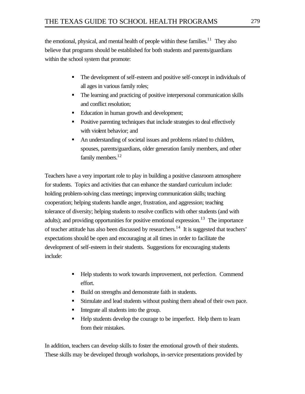the emotional, physical, and mental health of people within these families.<sup>11</sup> They also believe that programs should be established for both students and parents/guardians within the school system that promote:

- The development of self-esteem and positive self-concept in individuals of all ages in various family roles;
- ß The learning and practicing of positive interpersonal communication skills and conflict resolution;
- Education in human growth and development;
- ß Positive parenting techniques that include strategies to deal effectively with violent behavior; and
- An understanding of societal issues and problems related to children, spouses, parents/guardians, older generation family members, and other family members. $^{12}$

Teachers have a very important role to play in building a positive classroom atmosphere for students. Topics and activities that can enhance the standard curriculum include: holding problem-solving class meetings; improving communication skills; teaching cooperation; helping students handle anger, frustration, and aggression; teaching tolerance of diversity; helping students to resolve conflicts with other students (and with adults); and providing opportunities for positive emotional expression.<sup>13</sup> The importance of teacher attitude has also been discussed by researchers.<sup>14</sup> It is suggested that teachers' expectations should be open and encouraging at all times in order to facilitate the development of self-esteem in their students. Suggestions for encouraging students include:

- Help students to work towards improvement, not perfection. Commend effort.
- Build on strengths and demonstrate faith in students.
- ß Stimulate and lead students without pushing them ahead of their own pace.
- Integrate all students into the group.
- Help students develop the courage to be imperfect. Help them to learn from their mistakes.

In addition, teachers can develop skills to foster the emotional growth of their students. These skills may be developed through workshops, in-service presentations provided by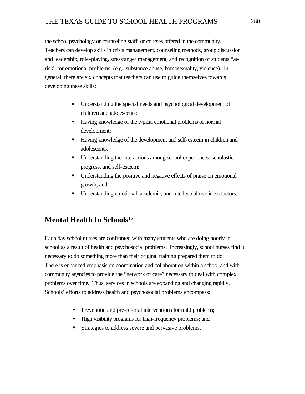the school psychology or counseling staff, or courses offered in the community. Teachers can develop skills in crisis management, counseling methods, group discussion and leadership, role-playing, stress/anger management, and recognition of students "atrisk" for emotional problems (e.g., substance abuse, homosexuality, violence). In general, there are six concepts that teachers can use to guide themselves towards developing these skills:

- **If** Understanding the special needs and psychological development of children and adolescents;
- Having knowledge of the typical emotional problems of normal development;
- Having knowledge of the development and self-esteem in children and adolescents;
- ß Understanding the interactions among school experiences, scholastic progress, and self-esteem;
- Understanding the positive and negative effects of praise on emotional growth; and
- Understanding emotional, academic, and intellectual readiness factors.

# **Mental Health In Schools<sup>15</sup>**

Each day school nurses are confronted with many students who are doing poorly in school as a result of health and psychosocial problems. Increasingly, school nurses find it necessary to do something more than their original training prepared them to do. There is enhanced emphasis on coordination and collaboration within a school and with community agencies to provide the "network of care" necessary to deal with complex problems over time. Thus, services in schools are expanding and changing rapidly. Schools' efforts to address health and psychosocial problems encompass:

- **•** Prevention and pre-referral interventions for mild problems;
- High visibility programs for high-frequency problems; and
- ß Strategies to address severe and pervasive problems.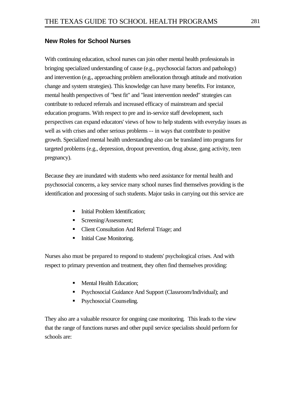## **New Roles for School Nurses**

With continuing education, school nurses can join other mental health professionals in bringing specialized understanding of cause (e.g., psychosocial factors and pathology) and intervention (e.g., approaching problem amelioration through attitude and motivation change and system strategies). This knowledge can have many benefits. For instance, mental health perspectives of "best fit" and "least intervention needed" strategies can contribute to reduced referrals and increased efficacy of mainstream and special education programs. With respect to pre and in-service staff development, such perspectives can expand educators' views of how to help students with everyday issues as well as with crises and other serious problems -- in ways that contribute to positive growth. Specialized mental health understanding also can be translated into programs for targeted problems (e.g., depression, dropout prevention, drug abuse, gang activity, teen pregnancy).

Because they are inundated with students who need assistance for mental health and psychosocial concerns, a key service many school nurses find themselves providing is the identification and processing of such students. Major tasks in carrying out this service are

- **Initial Problem Identification;**
- Screening/Assessment;
- **Example 3** Client Consultation And Referral Triage; and
- ß Initial Case Monitoring.

Nurses also must be prepared to respond to students' psychological crises. And with respect to primary prevention and treatment, they often find themselves providing:

- Mental Health Education;
- ß Psychosocial Guidance And Support (Classroom/Individual); and
- ß Psychosocial Counseling.

They also are a valuable resource for ongoing case monitoring*.* This leads to the view that the range of functions nurses and other pupil service specialists should perform for schools are: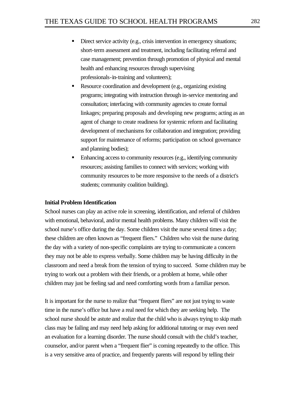- Direct service activity (e.g., crisis intervention in emergency situations; short-term assessment and treatment, including facilitating referral and case management; prevention through promotion of physical and mental health and enhancing resources through supervising professionals-in-training and volunteers);
- ß Resource coordination and development (e.g., organizing existing programs; integrating with instruction through in-service mentoring and consultation; interfacing with community agencies to create formal linkages; preparing proposals and developing new programs; acting as an agent of change to create readiness for systemic reform and facilitating development of mechanisms for collaboration and integration; providing support for maintenance of reforms; participation on school governance and planning bodies);
- ß Enhancing access to community resources (e.g., identifying community resources; assisting families to connect with services; working with community resources to be more responsive to the needs of a district's students; community coalition building).

### **Initial Problem Identification**

School nurses can play an active role in screening, identification, and referral of children with emotional, behavioral, and/or mental health problems. Many children will visit the school nurse's office during the day. Some children visit the nurse several times a day; these children are often known as "frequent fliers." Children who visit the nurse during the day with a variety of non-specific complaints are trying to communicate a concern they may not be able to express verbally. Some children may be having difficulty in the classroom and need a break from the tension of trying to succeed. Some children may be trying to work out a problem with their friends, or a problem at home, while other children may just be feeling sad and need comforting words from a familiar person.

It is important for the nurse to realize that "frequent fliers" are not just trying to waste time in the nurse's office but have a real need for which they are seeking help. The school nurse should be astute and realize that the child who is always trying to skip math class may be failing and may need help asking for additional tutoring or may even need an evaluation for a learning disorder. The nurse should consult with the child's teacher, counselor, and/or parent when a "frequent flier" is coming repeatedly to the office. This is a very sensitive area of practice, and frequently parents will respond by telling their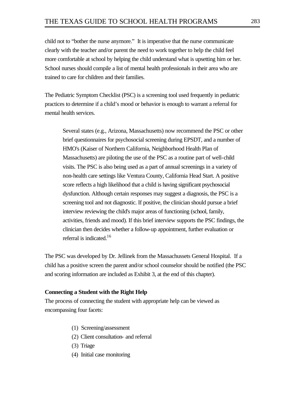child not to "bother the nurse anymore." It is imperative that the nurse communicate clearly with the teacher and/or parent the need to work together to help the child feel more comfortable at school by helping the child understand what is upsetting him or her. School nurses should compile a list of mental health professionals in their area who are trained to care for children and their families.

The Pediatric Symptom Checklist (PSC) is a screening tool used frequently in pediatric practices to determine if a child's mood or behavior is enough to warrant a referral for mental health services.

Several states (e.g., Arizona, Massachusetts) now recommend the PSC or other brief questionnaires for psychosocial screening during EPSDT, and a number of HMO's (Kaiser of Northern California, Neighborhood Health Plan of Massachusetts) are piloting the use of the PSC as a routine part of well-child visits. The PSC is also being used as a part of annual screenings in a variety of non-health care settings like Ventura County, California Head Start. A positive score reflects a high likelihood that a child is having significant psychosocial dysfunction. Although certain responses may suggest a diagnosis, the PSC is a screening tool and not diagnostic. If positive, the clinician should pursue a brief interview reviewing the child's major areas of functioning (school, family, activities, friends and mood). If this brief interview supports the PSC findings, the clinician then decides whether a follow-up appointment, further evaluation or referral is indicated.<sup>16</sup>

The PSC was developed by Dr. Jellinek from the Massachussets General Hospital. If a child has a positive screen the parent and/or school counselor should be notified (the PSC and scoring information are included as Exhibit 3, at the end of this chapter).

### **Connecting a Student with the Right Help**

The process of connecting the student with appropriate help can be viewed as encompassing four facets:

- (1) Screening/assessment
- (2) Client consultation- and referral
- (3) Triage
- (4) Initial case monitoring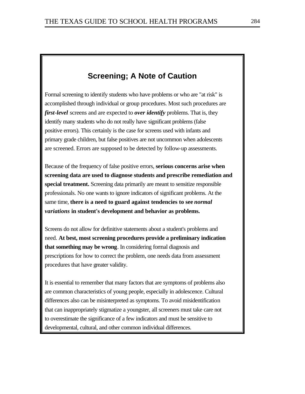# **Screening; A Note of Caution**

Formal screening to identify students who have problems or who are "at risk" is accomplished through individual or group procedures. Most such procedures are *first-level* screens and are expected to *over identify* problems. That is, they identify many students who do not really have significant problems (false positive errors). This certainly is the case for screens used with infants and primary grade children, but false positives are not uncommon when adolescents are screened. Errors are supposed to be detected by follow-up assessments.

Because of the frequency of false positive errors, **serious concerns arise when screening data are used to diagnose students and prescribe remediation and special treatment.** Screening data primarily are meant to sensitize responsible professionals. No one wants to ignore indicators of significant problems. At the same time, **there is a need to guard against tendencies to see** *normal variations* **in student's development and behavior as problems.**

Screens do not allow for definitive statements about a student's problems and need. **At best, most screening procedures provide a preliminary indication that something may be wrong**. In considering formal diagnosis and prescriptions for how to correct the problem, one needs data from assessment procedures that have greater validity.

It is essential to remember that many factors that are symptoms of problems also are common characteristics of young people, especially in adolescence. Cultural differences also can be misinterpreted as symptoms. To avoid misidentification that can inappropriately stigmatize a youngster, all screeners must take care not to overestimate the significance of a few indicators and must be sensitive to developmental, cultural, and other common individual differences.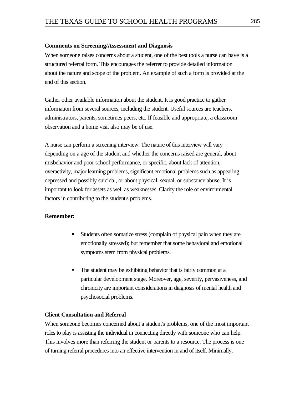### **Comments on Screening/Assessment and Diagnosis**

When someone raises concerns about a student, one of the best tools a nurse can have is a structured referral form. This encourages the referrer to provide detailed information about the nature and scope of the problem. An example of such a form is provided at the end of this section.

Gather other available information about the student. It is good practice to gather information from several sources, including the student. Useful sources are teachers, administrators, parents, sometimes peers, etc. If feasible and appropriate, a classroom observation and a home visit also may be of use.

A nurse can perform a screening interview. The nature of this interview will vary depending on a age of the student and whether the concerns raised are general, about misbehavior and poor school performance, or specific, about lack of attention, overactivity, major learning problems, significant emotional problems such as appearing depressed and possibly suicidal, or about physical, sexual, or substance abuse. It is important to look for assets as well as weaknesses. Clarify the role of environmental factors in contributing to the student's problems.

### **Remember:**

- ß Students often somatize stress (complain of physical pain when they are emotionally stressed); but remember that some behavioral and emotional symptoms stem from physical problems.
- The student may be exhibiting behavior that is fairly common at a particular development stage. Moreover, age, severity, pervasiveness, and chronicity are important considerations in diagnosis of mental health and psychosocial problems.

### **Client Consultation and Referral**

When someone becomes concerned about a student's problems, one of the most important roles to play is assisting the individual in connecting directly with someone who can help. This involves more than referring the student or parents to a resource. The process is one of turning referral procedures into an effective intervention in and of itself. Minimally,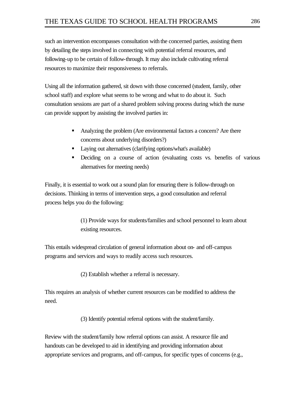such an intervention encompasses consultation with the concerned parties, assisting them by detailing the steps involved in connecting with potential referral resources, and following-up to be certain of follow-through. It may also include cultivating referral resources to maximize their responsiveness to referrals.

Using all the information gathered, sit down with those concerned (student, family, other school staff) and explore what seems to be wrong and what to do about it. Such consultation sessions are part of a shared problem solving process during which the nurse can provide support by assisting the involved parties in:

- Analyzing the problem (Are environmental factors a concern? Are there concerns about underlying disorders?)
- Laying out alternatives (clarifying options/what's available)
- **•** Deciding on a course of action (evaluating costs vs. benefits of various alternatives for meeting needs)

Finally, it is essential to work out a sound plan for ensuring there is follow-through on decisions. Thinking in terms of intervention steps, a good consultation and referral process helps you do the following:

> (1) Provide ways for students/families and school personnel to learn about existing resources.

This entails widespread circulation of general information about on- and off-campus programs and services and ways to readily access such resources.

(2) Establish whether a referral is necessary.

This requires an analysis of whether current resources can be modified to address the need.

(3) Identify potential referral options with the student/family.

Review with the student/family how referral options can assist. A resource file and handouts can be developed to aid in identifying and providing information about appropriate services and programs, and off-campus, for specific types of concerns (e.g.,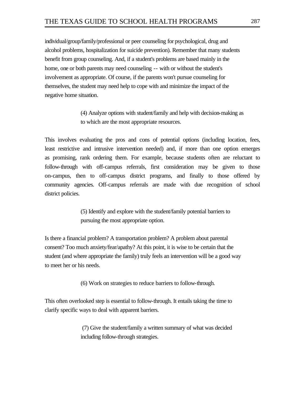individual/group/family/professional or peer counseling for psychological, drug and alcohol problems, hospitalization for suicide prevention). Remember that many students benefit from group counseling. And, if a student's problems are based mainly in the home, one or both parents may need counseling -- with or without the student's involvement as appropriate. Of course, if the parents won't pursue counseling for themselves, the student may need help to cope with and minimize the impact of the negative home situation.

> (4) Analyze options with student/family and help with decision-making as to which are the most appropriate resources.

This involves evaluating the pros and cons of potential options (including location, fees, least restrictive and intrusive intervention needed) and, if more than one option emerges as promising, rank ordering them. For example, because students often are reluctant to follow-through with off-campus referrals, first consideration may be given to those on-campus, then to off-campus district programs, and finally to those offered by community agencies. Off-campus referrals are made with due recognition of school district policies.

> (5) Identify and explore with the student/family potential barriers to pursuing the most appropriate option.

Is there a financial problem? A transportation problem? A problem about parental consent? Too much anxiety/fear/apathy? At this point, it is wise to be certain that the student (and where appropriate the family) truly feels an intervention will be a good way to meet her or his needs.

(6) Work on strategies to reduce barriers to follow-through.

This often overlooked step is essential to follow-through. It entails taking the time to clarify specific ways to deal with apparent barriers.

> (7) Give the student/family a written summary of what was decided including follow-through strategies.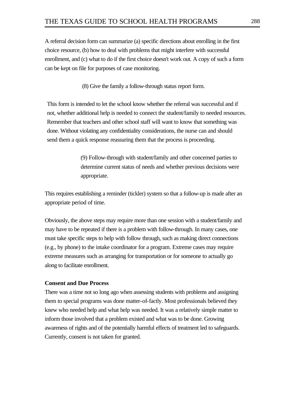A referral decision form can summarize (a) specific directions about enrolling in the first choice resource, (b) how to deal with problems that might interfere with successful enrollment, and (c) what to do if the first choice doesn't work out. A copy of such a form can be kept on file for purposes of case monitoring.

(8) Give the family a follow-through status report form.

This form is intended to let the school know whether the referral was successful and if not, whether additional help is needed to connect the student/family to needed resources. Remember that teachers and other school staff will want to know that something was done. Without violating any confidentiality considerations, the nurse can and should send them a quick response reassuring them that the process is proceeding.

> (9) Follow-through with student/family and other concerned parties to determine current status of needs and whether previous decisions were appropriate.

This requires establishing a reminder (tickler) system so that a follow-up is made after an appropriate period of time.

Obviously, the above steps may require more than one session with a student/family and may have to be repeated if there is a problem with follow-through. In many cases, one must take specific steps to help with follow through, such as making direct connections (e.g., by phone) to the intake coordinator for a program. Extreme cases may require extreme measures such as arranging for transportation or for someone to actually go along to facilitate enrollment.

### **Consent and Due Process**

There was a time not so long ago when assessing students with problems and assigning them to special programs was done matter-of-factly. Most professionals believed they knew who needed help and what help was needed. It was a relatively simple matter to inform those involved that a problem existed and what was to be done. Growing awareness of rights and of the potentially harmful effects of treatment led to safeguards. Currently, consent is not taken for granted.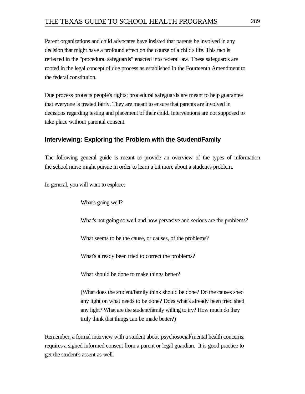Parent organizations and child advocates have insisted that parents be involved in any decision that might have a profound effect on the course of a child's life. This fact is reflected in the "procedural safeguards" enacted into federal law. These safeguards are rooted in the legal concept of due process as established in the Fourteenth Amendment to the federal constitution.

Due process protects people's rights; procedural safeguards are meant to help guarantee that everyone is treated fairly. They are meant to ensure that parents are involved in decisions regarding testing and placement of their child. Interventions are not supposed to take place without parental consent.

## **Interviewing: Exploring the Problem with the Student/Family**

The following general guide is meant to provide an overview of the types of information the school nurse might pursue in order to learn a bit more about a student's problem.

In general, you will want to explore:

What's going well?

What's not going so well and how pervasive and serious are the problems?

What seems to be the cause, or causes, of the problems?

What's already been tried to correct the problems?

What should be done to make things better?

(What does the student/family think should be done? Do the causes shed any light on what needs to be done? Does what's already been tried shed any light? What are the student/family willing to try? How much do they truly think that things can be made better?)

Remember, a formal interview with a student about psychosocial/mental health concerns, requires a signed informed consent from a parent or legal guardian. It is good practice to get the student's assent as well.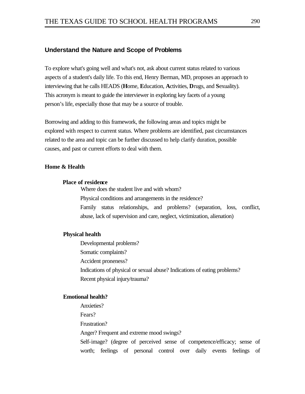### **Understand the Nature and Scope of Problems**

To explore what's going well and what's not, ask about current status related to various aspects of a student's daily life. To this end, Henry Berman, MD, proposes an approach to interviewing that he calls HEADS (**H**ome, **E**ducation, **A**ctivities, **D**rugs, and **S**exuality). This acronym is meant to guide the interviewer in exploring key facets of a young person's life, especially those that may be a source of trouble.

Borrowing and adding to this framework, the following areas and topics might be explored with respect to current status. Where problems are identified, past circumstances related to the area and topic can be further discussed to help clarify duration, possible causes, and past or current efforts to deal with them.

### **Home & Health**

#### **Place of residence**

Where does the student live and with whom?

Physical conditions and arrangements in the residence?

Family status relationships, and problems? (separation, loss, conflict, abuse, lack of supervision and care, neglect, victimization, alienation)

#### **Physical health**

Developmental problems? Somatic complaints? Accident proneness? Indications of physical or sexual abuse? Indications of eating problems? Recent physical injury/trauma?

#### **Emotional health?**

Anxieties? Fears?

Frustration?

Anger? Frequent and extreme mood swings?

Self-image? (degree of perceived sense of competence/efficacy; sense of worth; feelings of personal control over daily events feelings of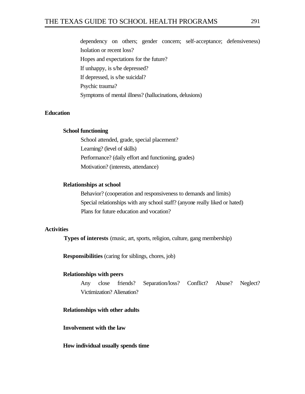dependency on others; gender concern; self-acceptance; defensiveness) Isolation or recent loss? Hopes and expectations for the future? If unhappy, is s/he depressed? If depressed, is s/he suicidal? Psychic trauma? Symptoms of mental illness? (hallucinations, delusions)

### **Education**

#### **School functioning**

School attended, grade, special placement? Learning? (level of skills) Performance? (daily effort and functioning, grades) Motivation? (interests, attendance)

#### **Relationships at school**

Behavior? (cooperation and responsiveness to demands and limits) Special relationships with any school staff? (anyone really liked or hated) Plans for future education and vocation?

### **Activities**

**Types of interests** (music, art, sports, religion, culture, gang membership)

**Responsibilities** (caring for siblings, chores, job)

#### **Relationships with peers**

Any close friends? Separation/loss? Conflict? Abuse? Neglect? Victimization? Alienation?

### **Relationships with other adults**

### **Involvement with the law**

#### **How individual usually spends time**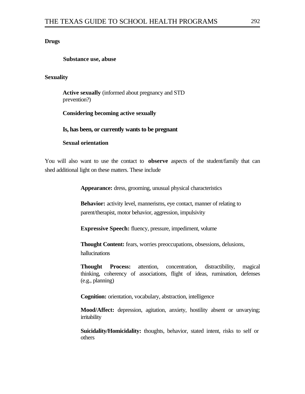### **Drugs**

#### **Substance use, abuse**

#### **Sexuality**

**Active sexually** (informed about pregnancy and STD prevention?)

### **Considering becoming active sexually**

#### **Is, has been, or currently wants to be pregnant**

### **Sexual orientation**

You will also want to use the contact to **observe** aspects of the student/family that can shed additional light on these matters. These include

**Appearance:** dress, grooming, unusual physical characteristics

**Behavior:** activity level, mannerisms, eye contact, manner of relating to parent/therapist, motor behavior, aggression, impulsivity

**Expressive Speech:** fluency, pressure, impediment, volume

**Thought Content:** fears, worries preoccupations, obsessions, delusions, hallucinations

**Thought Process:** attention, concentration, distractibility, magical thinking, coherency of associations, flight of ideas, rumination, defenses (e.g., planning)

**Cognition:** orientation, vocabulary, abstraction, intelligence

**Mood/Affect:** depression, agitation, anxiety, hostility absent or unvarying; irritability

**Suicidality/Homicidality:** thoughts, behavior, stated intent, risks to self or others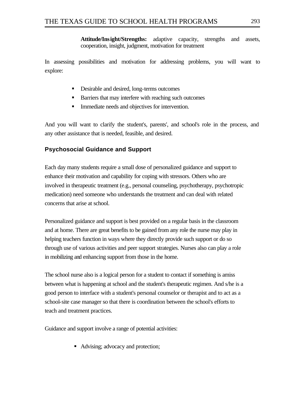**Attitude/Insight/Strengths:** adaptive capacity, strengths and assets, cooperation, insight, judgment, motivation for treatment

In assessing possibilities and motivation for addressing problems, you will want to explore:

- Desirable and desired, long-terms outcomes
- Barriers that may interfere with reaching such outcomes
- ß Immediate needs and objectives for intervention.

And you will want to clarify the student's, parents', and school's role in the process, and any other assistance that is needed, feasible, and desired.

## **Psychosocial Guidance and Support**

Each day many students require a small dose of personalized guidance and support to enhance their motivation and capability for coping with stressors. Others who are involved in therapeutic treatment (e.g., personal counseling, psychotherapy, psychotropic medication) need someone who understands the treatment and can deal with related concerns that arise at school.

Personalized guidance and support is best provided on a regular basis in the classroom and at home. There are great benefits to be gained from any role the nurse may play in helping teachers function in ways where they directly provide such support or do so through use of various activities and peer support strategies. Nurses also can play a role in mobilizing and enhancing support from those in the home.

The school nurse also is a logical person for a student to contact if something is amiss between what is happening at school and the student's therapeutic regimen. And s/he is a good person to interface with a student's personal counselor or therapist and to act as a school-site case manager so that there is coordination between the school's efforts to teach and treatment practices.

Guidance and support involve a range of potential activities:

• Advising; advocacy and protection;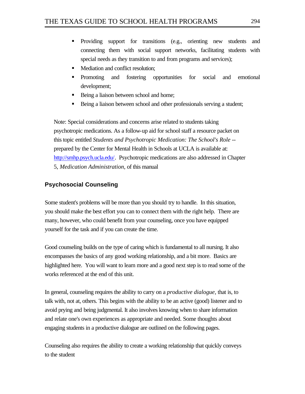- Providing support for transitions (e.g., orienting new students and connecting them with social support networks, facilitating students with special needs as they transition to and from programs and services);
- **•** Mediation and conflict resolution;
- ß Promoting and fostering opportunities for social and emotional development;
- ß Being a liaison between school and home;
- ß Being a liaison between school and other professionals serving a student;

Note: Special considerations and concerns arise related to students taking psychotropic medications. As a follow-up aid for school staff a resource packet on this topic entitled *Students and Psychotropic Medication: The School's Role -* prepared by the Center for Mental Health in Schools at UCLA is available at: [http://smhp.psych.ucla.edu/.](http://smhp.psych.ucla.edu/) Psychotropic medications are also addressed in Chapter 5, *Medication Administration,* of this manual

## **Psychosocial Counseling**

Some student's problems will be more than you should try to handle. In this situation, you should make the best effort you can to connect them with the right help. There are many, however, who could benefit from your counseling, once you have equipped yourself for the task and if you can create the time.

Good counseling builds on the type of caring which is fundamental to all nursing. It also encompasses the basics of any good working relationship, and a bit more. Basics are highlighted here. You will want to learn more and a good next step is to read some of the works referenced at the end of this unit.

In general, counseling requires the ability to carry on a *productive dialogue,* that is, to talk with, not at, others. This begins with the ability to be an active (good) listener and to avoid prying and being judgmental. It also involves knowing when to share information and relate one's own experiences as appropriate and needed. Some thoughts about engaging students in a productive dialogue are outlined on the following pages.

Counseling also requires the ability to create a working relationship that quickly conveys to the student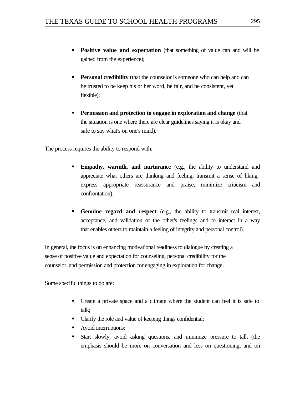- **Positive value and expectation** (that something of value can and will be gained from the experience);
- **Personal credibility** (that the counselor is someone who can help and can be trusted to be keep his or her word, be fair, and be consistent, yet flexible);
- **Permission and protection to engage in exploration and change** (that the situation is one where there are clear guidelines saying it is okay and safe to say what's on one's mind).

The process requires the ability to respond with:

- **Empathy, warmth, and nurturance** (e.g., the ability to understand and appreciate what others are thinking and feeling, transmit a sense of liking, express appropriate reassurance and praise, minimize criticism and confrontation);
- ß **Genuine regard and respect** (e.g., the ability to transmit real interest, acceptance, and validation of the other's feelings and to interact in a way that enables others to maintain a feeling of integrity and personal control).

In general, the focus is on enhancing motivational readiness to dialogue by creating a sense of positive value and expectation for counseling, personal credibility for the counselor, and permission and protection for engaging in exploration for change.

Some specific things to do are:

- Create a private space and a climate where the student can feel it is safe to talk;
- Clarify the role and value of keeping things confidential;
- Avoid interruptions;
- ß Start slowly, avoid asking questions, and minimize pressure to talk (the emphasis should be more on conversation and less on questioning, and on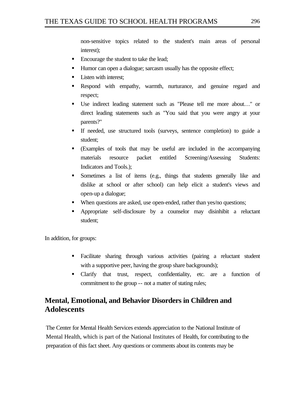non-sensitive topics related to the student's main areas of personal interest);

- Encourage the student to take the lead;
- Humor can open a dialogue; sarcasm usually has the opposite effect;
- Listen with interest:
- ß Respond with empathy, warmth, nurturance, and genuine regard and respect;
- Use indirect leading statement such as "Please tell me more about..." or direct leading statements such as "You said that you were angry at your parents?"
- ß If needed, use structured tools (surveys, sentence completion) to guide a student;
- ß (Examples of tools that may be useful are included in the accompanying materials resource packet entitled Screening/Assessing Students: Indicators and Tools.);
- ß Sometimes a list of items (e.g., things that students generally like and dislike at school or after school) can help elicit a student's views and open-up a dialogue;
- When questions are asked, use open-ended, rather than yes/no questions;
- ß Appropriate self-disclosure by a counselor may disinhibit a reluctant student;

In addition, for groups:

- ß Facilitate sharing through various activities (pairing a reluctant student with a supportive peer, having the group share backgrounds);
- ß Clarify that trust, respect, confidentiality, etc. are a function of commitment to the group -- not a matter of stating rules;

# **Mental, Emotional, and Behavior Disorders in Children and Adolescents**

The Center for Mental Health Services extends appreciation to the National Institute of Mental Health, which is part of the National Institutes of Health, for contributing to the preparation of this fact sheet. Any questions or comments about its contents may be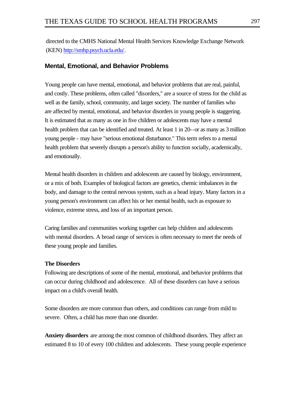directed to the CMHS National Mental Health Services Knowledge Exchange Network (KEN) [http://smhp.psych.ucla.edu/.](http://smhp.psych.ucla.edu/)

## **Mental, Emotional, and Behavior Problems**

Young people can have mental, emotional, and behavior problems that are real, painful, and costly. These problems, often called "disorders," are a source of stress for the child as well as the family, school, community, and larger society. The number of families who are affected by mental, emotional, and behavior disorders in young people is staggering. It is estimated that as many as one in five children or adolescents may have a mental health problem that can be identified and treated. At least 1 in 20--or as many as 3 million young people - may have "serious emotional disturbance." This term refers to a mental health problem that severely disrupts a person's ability to function socially, academically, and emotionally.

Mental health disorders in children and adolescents are caused by biology, environment, or a mix of both. Examples of biological factors are genetics, chemic imbalances in the body, and damage to the central nervous system, such as a head injury. Many factors in a young person's environment can affect his or her mental health, such as exposure to violence, extreme stress, and loss of an important person.

Caring families and communities working together can help children and adolescents with mental disorders. A broad range of services is often necessary to meet the needs of these young people and families.

### **The Disorders**

Following are descriptions of some of the mental, emotional, and behavior problems that can occur during childhood and adolescence. All of these disorders can have a serious impact on a child's overall health.

Some disorders are more common than others, and conditions can range from mild to severe. Often, a child has more than one disorder.

**Anxiety disorders** are among the most common of childhood disorders. They affect an estimated 8 to 10 of every 100 children and adolescents. These young people experience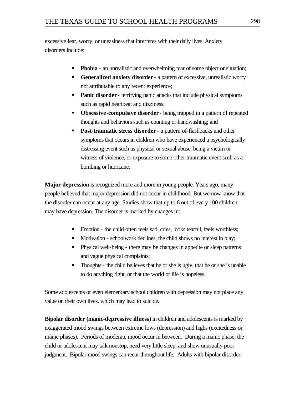excessive fear, worry, or uneasiness that interferes with their daily lives. Anxiety disorders include:

- **Phobia** an unrealistic and overwhelming fear of some object or situation;
- **Generalized anxiety disorder** a pattern of excessive, unrealistic worry not attributable to any recent experience;
- **Panic disorder** terrifying panic attacks that include physical symptoms such as rapid heartbeat and dizziness;
- **Obsessive-compulsive disorder** being trapped in a pattern of repeated thoughts and behaviors such as counting or handwashing; and
- **Post-traumatic stress disorder** a pattern of-flashbacks and other symptoms that occurs in children who have experienced a psychologically distressing event such as physical or sexual abuse, being a victim or witness of violence, or exposure to some other traumatic event such as a bombing or hurricane.

**Major depression** is recognized more and more in young people. Years ago, many people believed that major depression did not occur in childhood. But we now know that the disorder can occur at any age. Studies show that up to 6 out of every 100 children may have depression. The disorder is marked by changes in:

- Emotion the child often feels sad, cries, looks tearful, feels worthless;
- Motivation schoolwork declines, the child shows no interest in play;
- Physical well-being there may be changes in appetite or sleep patterns and vague physical complaints;
- Thoughts the child believes that he or she is ugly, that he or she is unable to do anything right, or that the world or life is hopeless.

Some adolescents or even elementary school children with depression may not place any value on their own lives, which may lead to suicide.

**Bipolar disorder (manic-depressive illness)** in children and adolescents is marked by exaggerated mood swings between extreme lows (depression) and highs (excitedness or manic phases). Periods of moderate mood occur in between. During a manic phase, the child or adolescent may talk nonstop, need very little sleep, and show unusually poor judgment. Bipolar mood swings can recur throughout life. Adults with bipolar disorder,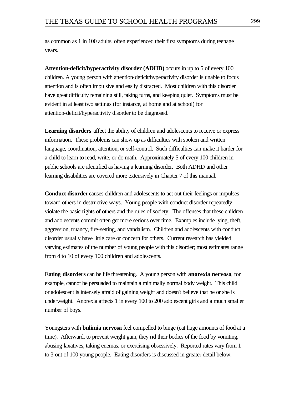as common as 1 in 100 adults, often experienced their first symptoms during teenage years.

**Attention-deficit/hyperactivity disorder (ADHD)** occurs in up to 5 of every 100 children. A young person with attention-deficit/hyperactivity disorder is unable to focus attention and is often impulsive and easily distracted. Most children with this disorder have great difficulty remaining still, taking turns, and keeping quiet. Symptoms must be evident in at least two settings (for instance, at home and at school) for attention-deficit/hyperactivity disorder to be diagnosed.

**Learning disorders** affect the ability of children and adolescents to receive or express information. These problems can show up as difficulties with spoken and written language, coordination, attention, or self-control. Such difficulties can make it harder for a child to learn to read, write, or do math. Approximately 5 of every 100 children in public schools are identified as having a learning disorder. Both ADHD and other learning disabilities are covered more extensively in Chapter 7 of this manual.

**Conduct disorder** causes children and adolescents to act out their feelings or impulses toward others in destructive ways. Young people with conduct disorder repeatedly violate the basic rights of others and the rules of society. The offenses that these children and adolescents commit often get more serious over time. Examples include lying, theft, aggression, truancy, fire-setting, and vandalism. Children and adolescents with conduct disorder usually have little care or concern for others. Current research has yielded varying estimates of the number of young people with this disorder; most estimates range from 4 to 10 of every 100 children and adolescents.

**Eating disorders** can be life threatening. A young person with **anorexia nervosa**, for example, cannot be persuaded to maintain a minimally normal body weight. This child or adolescent is intensely afraid of gaining weight and doesn't believe that he or she is underweight. Anorexia affects 1 in every 100 to 200 adolescent girls and a much smaller number of boys.

Youngsters with **bulimia nervosa** feel compelled to binge (eat huge amounts of food at a time). Afterward, to prevent weight gain, they rid their bodies of the food by vomiting, abusing laxatives, taking enemas, or exercising obsessively. Reported rates vary from 1 to 3 out of 100 young people. Eating disorders is discussed in greater detail below.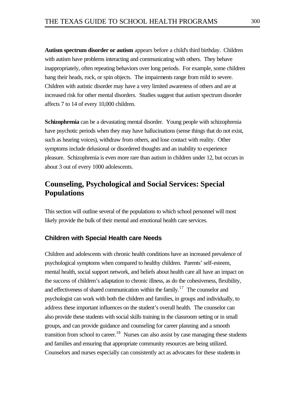**Autism spectrum disorder or autism** appears before a child's third birthday. Children with autism have problems interacting and communicating with others. They behave inappropriately, often repeating behaviors over long periods. For example, some children bang their heads, rock, or spin objects. The impairments range from mild to severe. Children with autistic disorder may have a very limited awareness of others and are at increased risk for other mental disorders. Studies suggest that autism spectrum disorder affects 7 to 14 of every 10,000 children.

**Schizophrenia** can be a devastating mental disorder. Young people with schizophrenia have psychotic periods when they may have hallucinations (sense things that do not exist, such as hearing voices), withdraw from others, and lose contact with reality. Other symptoms include delusional or disordered thoughts and an inability to experience pleasure. Schizophrenia is even more rare than autism in children under 12, but occurs in about 3 out of every 1000 adolescents.

# **Counseling, Psychological and Social Services: Special Populations**

This section will outline several of the populations to which school personnel will most likely provide the bulk of their mental and emotional health care services.

## **Children with Special Health care Needs**

Children and adolescents with chronic health conditions have an increased prevalence of psychological symptoms when compared to healthy children. Parents' self-esteem, mental health, social support network, and beliefs about health care all have an impact on the success of children's adaptation to chronic illness, as do the cohesiveness, flexibility, and effectiveness of shared communication within the family.<sup>17</sup> The counselor and psychologist can work with both the children and families, in groups and individually, to address these important influences on the student's overall health. The counselor can also provide these students with social skills training in the classroom setting or in small groups, and can provide guidance and counseling for career planning and a smooth transition from school to career.<sup>18</sup> Nurses can also assist by case managing these students and families and ensuring that appropriate community resources are being utilized. Counselors and nurses especially can consistently act as advocates for these students in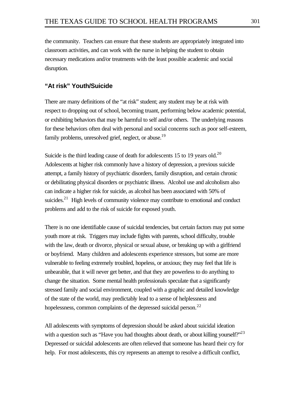the community. Teachers can ensure that these students are appropriately integrated into classroom activities, and can work with the nurse in helping the student to obtain necessary medications and/or treatments with the least possible academic and social disruption.

## **"At risk" Youth/Suicide**

There are many definitions of the "at risk" student; any student may be at risk with respect to dropping out of school, becoming truant, performing below academic potential, or exhibiting behaviors that may be harmful to self and/or others. The underlying reasons for these behaviors often deal with personal and social concerns such as poor self-esteem, family problems, unresolved grief, neglect, or abuse.<sup>19</sup>

Suicide is the third leading cause of death for adolescents 15 to 19 years old.<sup>20</sup> Adolescents at higher risk commonly have a history of depression, a previous suicide attempt, a family history of psychiatric disorders, family disruption, and certain chronic or debilitating physical disorders or psychiatric illness. Alcohol use and alcoholism also can indicate a higher risk for suicide, as alcohol has been associated with 50% of suicides.<sup>21</sup> High levels of community violence may contribute to emotional and conduct problems and add to the risk of suicide for exposed youth.

There is no one identifiable cause of suicidal tendencies, but certain factors may put some youth more at risk. Triggers may include fights with parents, school difficulty, trouble with the law, death or divorce, physical or sexual abuse, or breaking up with a girlfriend or boyfriend. Many children and adolescents experience stressors, but some are more vulnerable to feeling extremely troubled, hopeless, or anxious; they may feel that life is unbearable, that it will never get better, and that they are powerless to do anything to change the situation. Some mental health professionals speculate that a significantly stressed family and social environment, coupled with a graphic and detailed knowledge of the state of the world, may predictably lead to a sense of helplessness and hopelessness, common complaints of the depressed suicidal person.<sup>22</sup>

All adolescents with symptoms of depression should be asked about suicidal ideation with a question such as "Have you had thoughts about death, or about killing yourself?" $^{23}$ Depressed or suicidal adolescents are often relieved that someone has heard their cry for help. For most adolescents, this cry represents an attempt to resolve a difficult conflict,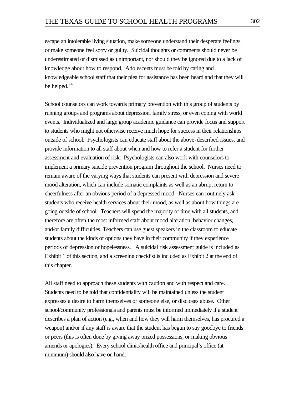escape an intolerable living situation, make someone understand their desperate feelings, or make someone feel sorry or guilty. Suicidal thoughts or comments should never be underestimated or dismissed as unimportant, nor should they be ignored due to a lack of knowledge about how to respond. Adolescents must be told by caring and knowledgeable school staff that their plea for assistance has been heard and that they will be helped.<sup>24</sup>

School counselors can work towards primary prevention with this group of students by running groups and programs about depression, family stress, or even coping with world events. Individualized and large group academic guidance can provide focus and support to students who might not otherwise receive much hope for success in their relationships outside of school. Psychologists can educate staff about the above-described issues, and provide information to all staff about when and how to refer a student for further assessment and evaluation of risk. Psychologists can also work with counselors to implement a primary suicide prevention program throughout the school. Nurses need to remain aware of the varying ways that students can present with depression and severe mood alteration, which can include somatic complaints as well as an abrupt return to cheerfulness after an obvious period of a depressed mood. Nurses can routinely ask students who receive health services about their mood, as well as about how things are going outside of school. Teachers will spend the majority of time with all students, and therefore are often the most informed staff about mood alteration, behavior changes, and/or family difficulties. Teachers can use guest speakers in the classroom to educate students about the kinds of options they have in their community if they experience periods of depression or hopelessness. A suicidal risk assessment guide is included as Exhibit 1 of this section, and a screening checklist is included as Exhibit 2 at the end of this chapter.

All staff need to approach these students with caution and with respect and care. Students need to be told that confidentiality will be maintained unless the student expresses a desire to harm themselves or someone else, or discloses abuse. Other school/community professionals and parents must be informed immediately if a student describes a plan of action (e.g., when and how they will harm themselves, has procured a weapon) and/or if any staff is aware that the student has begun to say goodbye to friends or peers (this is often done by giving away prized possessions, or making obvious amends or apologies). Every school clinic/health office and principal's office (at minimum) should also have on hand: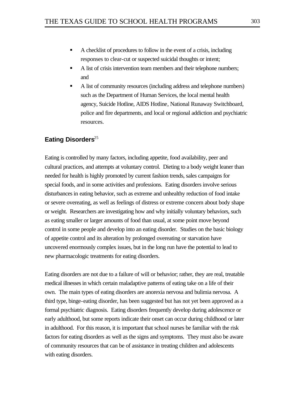- A checklist of procedures to follow in the event of a crisis, including responses to clear-cut or suspected suicidal thoughts or intent;
- A list of crisis intervention team members and their telephone numbers; and
- A list of community resources (including address and telephone numbers) such as the Department of Human Services, the local mental health agency, Suicide Hotline, AIDS Hotline, National Runaway Switchboard, police and fire departments, and local or regional addiction and psychiatric resources.

# **Eating Disorders**<sup>25</sup>

Eating is controlled by many factors, including appetite, food availability, peer and cultural practices, and attempts at voluntary control. Dieting to a body weight leaner than needed for health is highly promoted by current fashion trends, sales campaigns for special foods, and in some activities and professions. Eating disorders involve serious disturbances in eating behavior, such as extreme and unhealthy reduction of food intake or severe overeating, as well as feelings of distress or extreme concern about body shape or weight. Researchers are investigating how and why initially voluntary behaviors, such as eating smaller or larger amounts of food than usual, at some point move beyond control in some people and develop into an eating disorder. Studies on the basic biology of appetite control and its alteration by prolonged overeating or starvation have uncovered enormously complex issues, but in the long run have the potential to lead to new pharmacologic treatments for eating disorders.

Eating disorders are not due to a failure of will or behavior; rather, they are real, treatable medical illnesses in which certain maladaptive patterns of eating take on a life of their own. The main types of eating disorders are anorexia nervosa and bulimia nervosa. A third type, binge-eating disorder, has been suggested but has not yet been approved as a formal psychiatric diagnosis. Eating disorders frequently develop during adolescence or early adulthood, but some reports indicate their onset can occur during childhood or later in adulthood. For this reason, it is important that school nurses be familiar with the risk factors for eating disorders as well as the signs and symptoms. They must also be aware of community resources that can be of assistance in treating children and adolescents with eating disorders.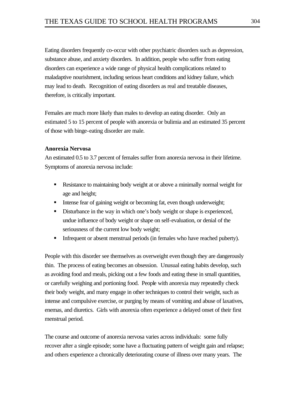Eating disorders frequently co-occur with other psychiatric disorders such as depression, substance abuse, and anxiety disorders. In addition, people who suffer from eating disorders can experience a wide range of physical health complications related to maladaptive nourishment, including serious heart conditions and kidney failure, which may lead to death. Recognition of eating disorders as real and treatable diseases, therefore, is critically important.

Females are much more likely than males to develop an eating disorder. Only an estimated 5 to 15 percent of people with anorexia or bulimia and an estimated 35 percent of those with binge-eating disorder are male.

### **Anorexia Nervosa**

An estimated 0.5 to 3.7 percent of females suffer from anorexia nervosa in their lifetime. Symptoms of anorexia nervosa include:

- **Resistance to maintaining body weight at or above a minimally normal weight for** age and height;
- **Intense fear of gaining weight or becoming fat, even though underweight;**
- Disturbance in the way in which one's body weight or shape is experienced, undue influence of body weight or shape on self-evaluation, or denial of the seriousness of the current low body weight;
- Infrequent or absent menstrual periods (in females who have reached puberty).

People with this disorder see themselves as overweight even though they are dangerously thin. The process of eating becomes an obsession. Unusual eating habits develop, such as avoiding food and meals, picking out a few foods and eating these in small quantities, or carefully weighing and portioning food. People with anorexia may repeatedly check their body weight, and many engage in other techniques to control their weight, such as intense and compulsive exercise, or purging by means of vomiting and abuse of laxatives, enemas, and diuretics. Girls with anorexia often experience a delayed onset of their first menstrual period.

The course and outcome of anorexia nervosa varies across individuals: some fully recover after a single episode; some have a fluctuating pattern of weight gain and relapse; and others experience a chronically deteriorating course of illness over many years. The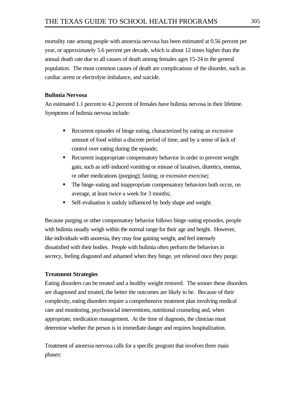mortality rate among people with anorexia nervosa has been estimated at 0.56 percent per year, or approximately 5.6 percent per decade, which is about 12 times higher than the annual death rate due to all causes of death among females ages 15-24 in the general population. The most common causes of death are complications of the disorder, such as cardiac arrest or electrolyte imbalance, and suicide.

## **Bulimia Nervosa**

An estimated 1.1 percent to 4.2 percent of females have bulimia nervosa in their lifetime. Symptoms of bulimia nervosa include:

- Recurrent episodes of binge eating, characterized by eating an excessive amount of food within a discrete period of time, and by a sense of lack of control over eating during the episode;
- Recurrent inappropriate compensatory behavior in order to prevent weight gain, such as self-induced vomiting or misuse of laxatives, diuretics, enemas, or other medications (purging); fasting; or excessive exercise**;**
- The binge-eating and inappropriate compensatory behaviors both occur, on average, at least twice a week for 3 months;
- **Bulf-evaluation is unduly influenced by body shape and weight.**

Because purging or other compensatory behavior follows binge-eating episodes, people with bulimia usually weigh within the normal range for their age and height. However, like individuals with anorexia, they may fear gaining weight, and feel intensely dissatisfied with their bodies. People with bulimia often perform the behaviors in secrecy, feeling disgusted and ashamed when they binge, yet relieved once they purge.

### **Treatment Strategies**

Eating disorders can be treated and a healthy weight restored. The sooner these disorders are diagnosed and treated, the better the outcomes are likely to be. Because of their complexity, eating disorders require a comprehensive treatment plan involving medical care and monitoring, psychosocial interventions, nutritional counseling and, when appropriate, medication management. At the time of diagnosis, the clinician must determine whether the person is in immediate danger and requires hospitalization.

Treatment of anorexia nervosa calls for a specific program that involves three main phases: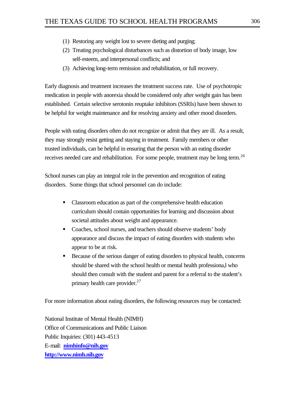- (1) Restoring any weight lost to severe dieting and purging;
- (2) Treating psychological disturbances such as distortion of body image, low self-esteem, and interpersonal conflicts; and
- (3) Achieving long-term remission and rehabilitation, or full recovery.

Early diagnosis and treatment increases the treatment success rate. Use of psychotropic medication in people with anorexia should be considered only after weight gain has been established. Certain selective serotonin reuptake inhibitors (SSRIs) have been shown to be helpful for weight maintenance and for resolving anxiety and other mood disorders.

People with eating disorders often do not recognize or admit that they are ill. As a result, they may strongly resist getting and staying in treatment. Family members or other trusted individuals, can be helpful in ensuring that the person with an eating disorder receives needed care and rehabilitation. For some people, treatment may be long term.<sup>26</sup>

School nurses can play an integral role in the prevention and recognition of eating disorders. Some things that school personnel can do include:

- Classroom education as part of the comprehensive health education curriculum should contain opportunities for learning and discussion about societal attitudes about weight and appearance.
- Coaches, school nurses, and teachers should observe students' body appearance and discuss the impact of eating disorders with students who appear to be at risk.
- Because of the serious danger of eating disorders to physical health, concerns should be shared with the school health or mental health professiona,l who should then consult with the student and parent for a referral to the student's primary health care provider.<sup>27</sup>

For more information about eating disorders, the following resources may be contacted:

National Institute of Mental Health (NIMH) Office of Communications and Public Liaison Public Inquiries: (301) 443-4513 E-mail: **nimhinfo@nih.gov <http://www.nimh.nih.gov>**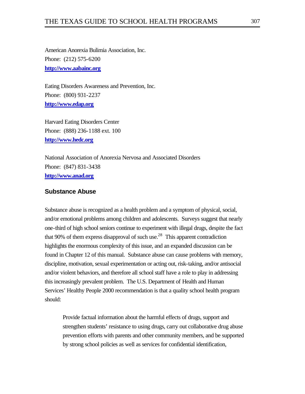American Anorexia Bulimia Association, Inc. Phone: (212) 575-6200 **<http://www.aabainc.org>**

Eating Disorders Awareness and Prevention, Inc. Phone: (800) 931-2237 **<http://www.edap.org>**

Harvard Eating Disorders Center Phone: (888) 236-1188 ext. 100 **<http://www.hedc.org>**

National Association of Anorexia Nervosa and Associated Disorders Phone: (847) 831-3438 **<http://www.anad.org>**

## **Substance Abuse**

Substance abuse is recognized as a health problem and a symptom of physical, social, and/or emotional problems among children and adolescents. Surveys suggest that nearly one-third of high school seniors continue to experiment with illegal drugs, despite the fact that 90% of them express disapproval of such use.<sup>28</sup> This apparent contradiction highlights the enormous complexity of this issue, and an expanded discussion can be found in Chapter 12 of this manual. Substance abuse can cause problems with memory, discipline, motivation, sexual experimentation or acting out, risk-taking, and/or antisocial and/or violent behaviors, and therefore all school staff have a role to play in addressing this increasingly prevalent problem. The U.S. Department of Health and Human Services' Healthy People 2000 recommendation is that a quality school health program should:

Provide factual information about the harmful effects of drugs, support and strengthen students' resistance to using drugs, carry out collaborative drug abuse prevention efforts with parents and other community members, and be supported by strong school policies as well as services for confidential identification,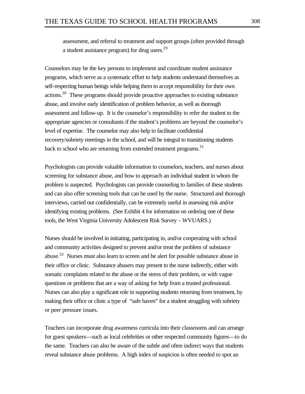assessment, and referral to treatment and support groups (often provided through a student assistance program) for drug users.<sup>29</sup>

Counselors may be the key persons to implement and coordinate student assistance programs, which serve as a systematic effort to help students understand themselves as self-respecting human beings while helping them to accept responsibility for their own actions.<sup>30</sup> These programs should provide proactive approaches to existing substance abuse, and involve early identification of problem behavior, as well as thorough assessment and follow-up. It is the counselor's responsibility to refer the student to the appropriate agencies or consultants if the student's problems are beyond the counselor's level of expertise. The counselor may also help to facilitate confidential recovery/sobriety meetings in the school, and will be integral to transitioning students back to school who are returning from extended treatment programs.<sup>31</sup>

Psychologists can provide valuable information to counselors, teachers, and nurses about screening for substance abuse, and how to approach an individual student in whom the problem is suspected. Psychologists can provide counseling to families of these students and can also offer screening tools that can be used by the nurse. Structured and thorough interviews, carried out confidentially, can be extremely useful in assessing risk and/or identifying existing problems. (See Exhibit 4 for information on ordering one of these tools, the West Virginia University Adolescent Risk Survey - WVUARS.)

Nurses should be involved in initiating, participating in, and/or cooperating with school and community activities designed to prevent and/or treat the problem of substance abuse.<sup>32</sup> Nurses must also learn to screen and be alert for possible substance abuse in their office or clinic. Substance abusers may present to the nurse indirectly, either with somatic complaints related to the abuse or the stress of their problem, or with vague questions or problems that are a way of asking for help from a trusted professional. Nurses can also play a significant role in supporting students returning from treatment, by making their office or clinic a type of "safe haven" for a student struggling with sobriety or peer pressure issues.

Teachers can incorporate drug awareness curricula into their classrooms and can arrange for guest speakers—such as local celebrities or other respected community figures—to do the same. Teachers can also be aware of the subtle and often indirect ways that students reveal substance abuse problems. A high index of suspicion is often needed to spot an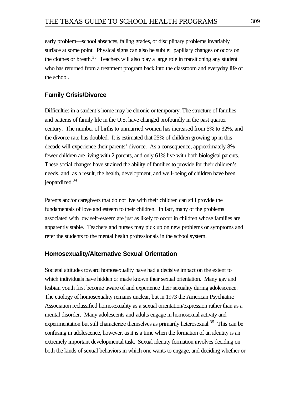early problem—school absences, falling grades, or disciplinary problems invariably surface at some point. Physical signs can also be subtle: papillary changes or odors on the clothes or breath.<sup>33</sup> Teachers will also play a large role in transitioning any student who has returned from a treatment program back into the classroom and everyday life of the school.

## **Family Crisis/Divorce**

Difficulties in a student's home may be chronic or temporary. The structure of families and patterns of family life in the U.S. have changed profoundly in the past quarter century. The number of births to unmarried women has increased from 5% to 32%, and the divorce rate has doubled. It is estimated that 25% of children growing up in this decade will experience their parents' divorce. As a consequence, approximately 8% fewer children are living with 2 parents, and only 61% live with both biological parents. These social changes have strained the ability of families to provide for their children's needs, and, as a result, the health, development, and well-being of children have been jeopardized.<sup>34</sup>

Parents and/or caregivers that do not live with their children can still provide the fundamentals of love and esteem to their children. In fact, many of the problems associated with low self-esteem are just as likely to occur in children whose families are apparently stable. Teachers and nurses may pick up on new problems or symptoms and refer the students to the mental health professionals in the school system.

### **Homosexuality/Alternative Sexual Orientation**

Societal attitudes toward homosexuality have had a decisive impact on the extent to which individuals have hidden or made known their sexual orientation. Many gay and lesbian youth first become aware of and experience their sexuality during adolescence. The etiology of homosexuality remains unclear, but in 1973 the American Psychiatric Association reclassified homosexuality as a sexual orientation/expression rather than as a mental disorder. Many adolescents and adults engage in homosexual activity and experimentation but still characterize themselves as primarily heterosexual.<sup>35</sup> This can be confusing in adolescence, however, as it is a time when the formation of an identity is an extremely important developmental task. Sexual identity formation involves deciding on both the kinds of sexual behaviors in which one wants to engage, and deciding whether or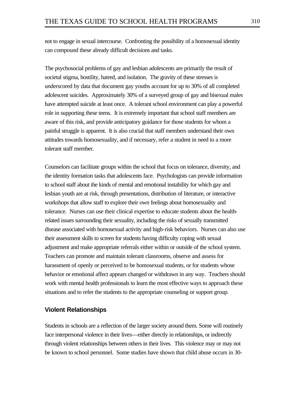not to engage in sexual intercourse. Confronting the possibility of a homosexual identity can compound these already difficult decisions and tasks.

The psychosocial problems of gay and lesbian adolescents are primarily the result of societal stigma, hostility, hatred, and isolation. The gravity of these stresses is underscored by data that document gay youths account for up to 30% of all completed adolescent suicides. Approximately 30% of a surveyed group of gay and bisexual males have attempted suicide at least once. A tolerant school environment can play a powerful role in supporting these teens. It is extremely important that school staff members are aware of this risk, and provide anticipatory guidance for those students for whom a painful struggle is apparent. It is also crucial that staff members understand their own attitudes towards homosexuality, and if necessary, refer a student in need to a more tolerant staff member.

Counselors can facilitate groups within the school that focus on tolerance, diversity, and the identity formation tasks that adolescents face. Psychologists can provide information to school staff about the kinds of mental and emotional instability for which gay and lesbian youth are at risk, through presentations, distribution of literature, or interactive workshops that allow staff to explore their own feelings about homosexuality and tolerance. Nurses can use their clinical expertise to educate students about the healthrelated issues surrounding their sexuality, including the risks of sexually transmitted disease associated with homosexual activity and high-risk behaviors. Nurses can also use their assessment skills to screen for students having difficulty coping with sexual adjustment and make appropriate referrals either within or outside of the school system. Teachers can promote and maintain tolerant classrooms, observe and assess for harassment of openly or perceived to be homosexual students, or for students whose behavior or emotional affect appears changed or withdrawn in any way. Teachers should work with mental health professionals to learn the most effective ways to approach these situations and to refer the students to the appropriate counseling or support group.

## **Violent Relationships**

Students in schools are a reflection of the larger society around them. Some will routinely face interpersonal violence in their lives—either directly in relationships, or indirectly through violent relationships between others in their lives. This violence may or may not be known to school personnel. Some studies have shown that child abuse occurs in 30-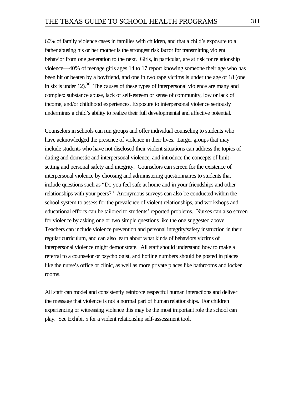60% of family violence cases in families with children, and that a child's exposure to a father abusing his or her mother is the strongest risk factor for transmitting violent behavior from one generation to the next. Girls, in particular, are at risk for relationship violence—40% of teenage girls ages 14 to 17 report knowing someone their age who has been hit or beaten by a boyfriend, and one in two rape victims is under the age of 18 (one in six is under  $12$ ).<sup>36</sup> The causes of these types of interpersonal violence are many and complex: substance abuse, lack of self-esteem or sense of community, low or lack of income, and/or childhood experiences. Exposure to interpersonal violence seriously undermines a child's ability to realize their full developmental and affective potential.

Counselors in schools can run groups and offer individual counseling to students who have acknowledged the presence of violence in their lives. Larger groups that may include students who have not disclosed their violent situations can address the topics of dating and domestic and interpersonal violence, and introduce the concepts of limitsetting and personal safety and integrity. Counselors can screen for the existence of interpersonal violence by choosing and administering questionnaires to students that include questions such as "Do you feel safe at home and in your friendships and other relationships with your peers?" Anonymous surveys can also be conducted within the school system to assess for the prevalence of violent relationships, and workshops and educational efforts can be tailored to students' reported problems. Nurses can also screen for violence by asking one or two simple questions like the one suggested above. Teachers can include violence prevention and personal integrity/safety instruction in their regular curriculum, and can also learn about what kinds of behaviors victims of interpersonal violence might demonstrate. All staff should understand how to make a referral to a counselor or psychologist, and hotline numbers should be posted in places like the nurse's office or clinic, as well as more private places like bathrooms and locker rooms.

All staff can model and consistently reinforce respectful human interactions and deliver the message that violence is not a normal part of human relationships. For children experiencing or witnessing violence this may be the most important role the school can play. See Exhibit 5 for a violent relationship self-assessment tool.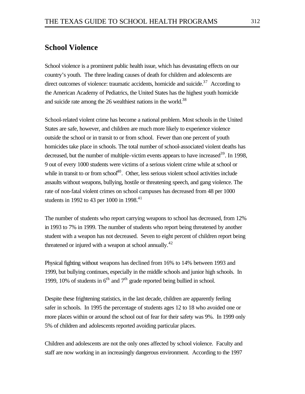# **School Violence**

School violence is a prominent public health issue, which has devastating effects on our country's youth. The three leading causes of death for children and adolescents are direct outcomes of violence: traumatic accidents, homicide and suicide.<sup>37</sup> According to the American Academy of Pediatrics, the United States has the highest youth homicide and suicide rate among the  $26$  wealthiest nations in the world.<sup>38</sup>

School-related violent crime has become a national problem. Most schools in the United States are safe, however, and children are much more likely to experience violence outside the school or in transit to or from school. Fewer than one percent of youth homicides take place in schools. The total number of school-associated violent deaths has decreased, but the number of multiple-victim events appears to have increased<sup>39</sup>. In 1998, 9 out of every 1000 students were victims of a serious violent crime while at school or while in transit to or from school $40^{\circ}$ . Other, less serious violent school activities include assaults without weapons, bullying, hostile or threatening speech, and gang violence. The rate of non-fatal violent crimes on school campuses has decreased from 48 per 1000 students in 1992 to 43 per 1000 in 1998.<sup>41</sup>

The number of students who report carrying weapons to school has decreased, from 12% in 1993 to 7% in 1999. The number of students who report being threatened by another student with a weapon has not decreased. Seven to eight percent of children report being threatened or injured with a weapon at school annually. $^{42}$ 

Physical fighting without weapons has declined from 16% to 14% between 1993 and 1999, but bullying continues, especially in the middle schools and junior high schools. In 1999, 10% of students in  $6<sup>th</sup>$  and  $7<sup>th</sup>$  grade reported being bullied in school.

Despite these frightening statistics, in the last decade, children are apparently feeling safer in schools. In 1995 the percentage of students ages 12 to 18 who avoided one or more places within or around the school out of fear for their safety was 9%. In 1999 only 5% of children and adolescents reported avoiding particular places.

Children and adolescents are not the only ones affected by school violence. Faculty and staff are now working in an increasingly dangerous environment. According to the 1997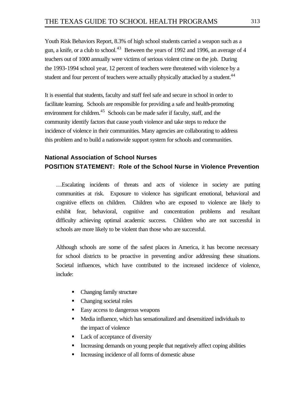Youth Risk Behaviors Report, 8.3% of high school students carried a weapon such as a gun, a knife, or a club to school.<sup>43</sup> Between the years of 1992 and 1996, an average of 4 teachers out of 1000 annually were victims of serious violent crime on the job. During the 1993-1994 school year, 12 percent of teachers were threatened with violence by a student and four percent of teachers were actually physically attacked by a student.<sup>44</sup>

It is essential that students, faculty and staff feel safe and secure in school in order to facilitate learning. Schools are responsible for providing a safe and health-promoting environment for children.<sup>45</sup> Schools can be made safer if faculty, staff, and the community identify factors that cause youth violence and take steps to reduce the incidence of violence in their communities. Many agencies are collaborating to address this problem and to build a nationwide support system for schools and communities.

# **National Association of School Nurses POSITION STATEMENT: Role of the School Nurse in Violence Prevention**

…Escalating incidents of threats and acts of violence in society are putting communities at risk. Exposure to violence has significant emotional, behavioral and cognitive effects on children. Children who are exposed to violence are likely to exhibit fear, behavioral, cognitive and concentration problems and resultant difficulty achieving optimal academic success. Children who are not successful in schools are more likely to be violent than those who are successful.

Although schools are some of the safest places in America, it has become necessary for school districts to be proactive in preventing and/or addressing these situations. Societal influences, which have contributed to the increased incidence of violence, include:

- Changing family structure
- Changing societal roles
- Easy access to dangerous weapons
- ß Media influence, which has sensationalized and desensitized individuals to the impact of violence
- Lack of acceptance of diversity
- ß Increasing demands on young people that negatively affect coping abilities
- ß Increasing incidence of all forms of domestic abuse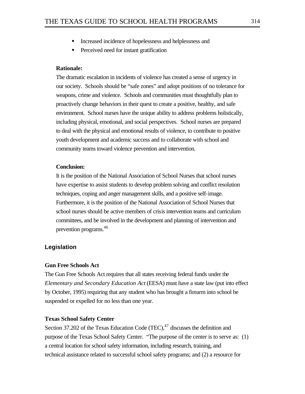- Increased incidence of hopelessness and helplessness and
- ß Perceived need for instant gratification

### **Rationale:**

The dramatic escalation in incidents of violence has created a sense of urgency in our society. Schools should be "safe zones" and adopt positions of no tolerance for weapons, crime and violence. Schools and communities must thoughtfully plan to proactively change behaviors in their quest to create a positive, healthy, and safe environment. School nurses have the unique ability to address problems holistically, including physical, emotional, and social perspectives. School nurses are prepared to deal with the physical and emotional results of violence, to contribute to positive youth development and academic success and to collaborate with school and community teams toward violence prevention and intervention.

### **Conclusion:**

It is the position of the National Association of School Nurses that school nurses have expertise to assist students to develop problem solving and conflict resolution techniques, coping and anger management skills, and a positive self-image. Furthermore, it is the position of the National Association of School Nurses that school nurses should be active members of crisis intervention teams and curriculum committees, and be involved in the development and planning of intervention and prevention programs.<sup>46</sup>

### **Legislation**

### **Gun Free Schools Act**

The Gun Free Schools Act requires that all states receiving federal funds under the *Elementary and Secondary Education Act* (EESA) must have a state law (put into effect by October, 1995) requiring that any student who has brought a firearm into school be suspended or expelled for no less than one year.

### **Texas School Safety Center**

Section 37.202 of the Texas Education Code (TEC), $47$  discusses the definition and purpose of the Texas School Safety Center. "The purpose of the center is to serve as: (1) a central location for school safety information, including research, training, and technical assistance related to successful school safety programs; and (2) a resource for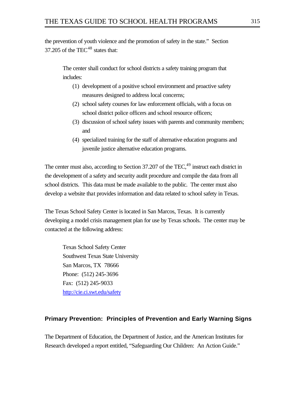the prevention of youth violence and the promotion of safety in the state." Section 37.205 of the  $TEC<sup>48</sup>$  states that:

The center shall conduct for school districts a safety training program that includes:

- (1) development of a positive school environment and proactive safety measures designed to address local concerns;
- (2) school safety courses for law enforcement officials, with a focus on school district police officers and school resource officers;
- (3) discussion of school safety issues with parents and community members; and
- (4) specialized training for the staff of alternative education programs and juvenile justice alternative education programs.

The center must also, according to Section 37.207 of the TEC,<sup>49</sup> instruct each district in the development of a safety and security audit procedure and compile the data from all school districts. This data must be made available to the public. The center must also develop a website that provides information and data related to school safety in Texas.

The Texas School Safety Center is located in San Marcos, Texas. It is currently developing a model crisis management plan for use by Texas schools. The center may be contacted at the following address:

Texas School Safety Center Southwest Texas State University San Marcos, TX 78666 Phone: (512) 245-3696 Fax: (512) 245-9033 <http://cie.ci.swt.edu/safety>

## **Primary Prevention: Principles of Prevention and Early Warning Signs**

The Department of Education, the Department of Justice, and the American Institutes for Research developed a report entitled, "Safeguarding Our Children: An Action Guide."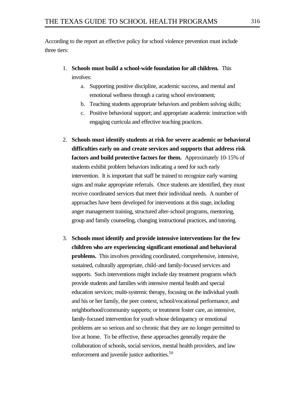According to the report an effective policy for school violence prevention must include three tiers:

- 1. **Schools must build a school-wide foundation for all children.** This involves:
	- a. Supporting positive discipline, academic success, and mental and emotional wellness through a caring school environment;
	- b. Teaching students appropriate behaviors and problem solving skills;
	- c. Positive behavioral support; and appropriate academic instruction with engaging curricula and effective teaching practices.
- 2. **Schools must identify students at risk for severe academic or behavioral difficulties early on and create services and supports that address risk factors and build protective factors for them.** Approximately 10-15% of students exhibit problem behaviors indicating a need for such early intervention. It is important that staff be trained to recognize early warning signs and make appropriate referrals. Once students are identified, they must receive coordinated services that meet their individual needs. A number of approaches have been developed for interventions at this stage, including anger management training, structured after-school programs, mentoring, group and family counseling, changing instructional practices, and tutoring.
- 3. **Schools must identify and provide intensive interventions for the few children who are experiencing significant emotional and behavioral problems.** This involves providing coordinated, comprehensive, intensive, sustained, culturally appropriate, child-and family-focused services and supports. Such interventions might include day treatment programs which provide students and families with intensive mental health and special education services; multi-systemic therapy, focusing on the individual youth and his or her family, the peer context, school/vocational performance, and neighborhood/community supports; or treatment foster care, an intensive, family-focused intervention for youth whose delinquency or emotional problems are so serious and so chronic that they are no longer permitted to live at home. To be effective, these approaches generally require the collaboration of schools, social services, mental health providers, and law enforcement and juvenile justice authorities.<sup>50</sup>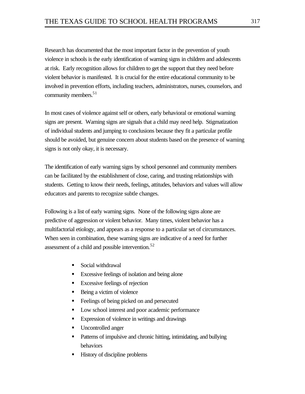Research has documented that the most important factor in the prevention of youth violence in schools is the early identification of warning signs in children and adolescents at risk. Early recognition allows for children to get the support that they need before violent behavior is manifested. It is crucial for the entire educational community to be involved in prevention efforts, including teachers, administrators, nurses, counselors, and community members.<sup>51</sup>

In most cases of violence against self or others, early behavioral or emotional warning signs are present. Warning signs are signals that a child may need help. Stigmatization of individual students and jumping to conclusions because they fit a particular profile should be avoided, but genuine concern about students based on the presence of warning signs is not only okay, it is necessary.

The identification of early warning signs by school personnel and community members can be facilitated by the establishment of close, caring, and trusting relationships with students. Getting to know their needs, feelings, attitudes, behaviors and values will allow educators and parents to recognize subtle changes.

Following is a list of early warning signs. None of the following signs alone are predictive of aggression or violent behavior. Many times, violent behavior has a multifactorial etiology, and appears as a response to a particular set of circumstances. When seen in combination, these warning signs are indicative of a need for further assessment of a child and possible intervention.<sup>52</sup>

- Social withdrawal
- Excessive feelings of isolation and being alone
- Excessive feelings of rejection
- $\blacksquare$  Being a victim of violence
- Feelings of being picked on and persecuted
- Low school interest and poor academic performance
- Expression of violence in writings and drawings
- Uncontrolled anger
- ß Patterns of impulsive and chronic hitting, intimidating, and bullying behaviors
- ß History of discipline problems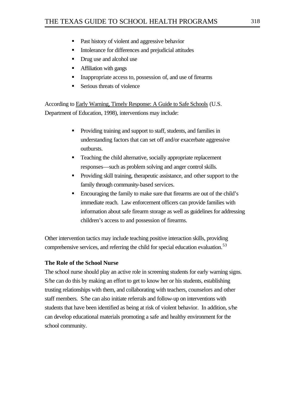- Past history of violent and aggressive behavior
- Intolerance for differences and prejudicial attitudes
- Drug use and alcohol use
- **•** Affiliation with gangs
- Imappropriate access to, possession of, and use of firearms
- $\blacksquare$  Serious threats of violence

According to Early Warning, Timely Response: A Guide to Safe Schools (U.S. Department of Education, 1998), interventions may include:

- Providing training and support to staff, students, and families in understanding factors that can set off and/or exacerbate aggressive outbursts.
- ß Teaching the child alternative, socially appropriate replacement responses—such as problem solving and anger control skills.
- Providing skill training, therapeutic assistance, and other support to the family through community-based services.
- Encouraging the family to make sure that firearms are out of the child's immediate reach. Law enforcement officers can provide families with information about safe firearm storage as well as guidelines for addressing children's access to and possession of firearms.

Other intervention tactics may include teaching positive interaction skills, providing comprehensive services, and referring the child for special education evaluation.<sup>53</sup>

## **The Role of the School Nurse**

The school nurse should play an active role in screening students for early warning signs. S/he can do this by making an effort to get to know her or his students, establishing trusting relationships with them, and collaborating with teachers, counselors and other staff members. S/he can also initiate referrals and follow-up on interventions with students that have been identified as being at risk of violent behavior. In addition, s/he can develop educational materials promoting a safe and healthy environment for the school community.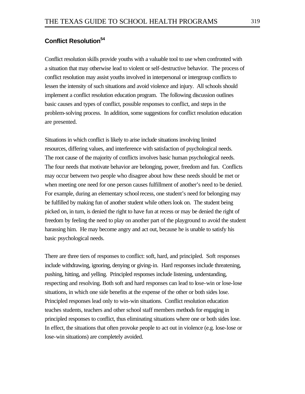# **Conflict Resolution<sup>54</sup>**

Conflict resolution skills provide youths with a valuable tool to use when confronted with a situation that may otherwise lead to violent or self-destructive behavior. The process of conflict resolution may assist youths involved in interpersonal or intergroup conflicts to lessen the intensity of such situations and avoid violence and injury. All schools should implement a conflict resolution education program. The following discussion outlines basic causes and types of conflict, possible responses to conflict, and steps in the problem-solving process. In addition, some suggestions for conflict resolution education are presented.

Situations in which conflict is likely to arise include situations involving limited resources, differing values, and interference with satisfaction of psychological needs. The root cause of the majority of conflicts involves basic human psychological needs. The four needs that motivate behavior are belonging, power, freedom and fun. Conflicts may occur between two people who disagree about how these needs should be met or when meeting one need for one person causes fulfillment of another's need to be denied. For example, during an elementary school recess, one student's need for belonging may be fulfilled by making fun of another student while others look on. The student being picked on, in turn, is denied the right to have fun at recess or may be denied the right of freedom by feeling the need to play on another part of the playground to avoid the student harassing him. He may become angry and act out, because he is unable to satisfy his basic psychological needs.

There are three tiers of responses to conflict: soft, hard, and principled. Soft responses include withdrawing, ignoring, denying or giving-in. Hard responses include threatening, pushing, hitting, and yelling. Principled responses include listening, understanding, respecting and resolving. Both soft and hard responses can lead to lose-win or lose-lose situations, in which one side benefits at the expense of the other or both sides lose. Principled responses lead only to win-win situations. Conflict resolution education teaches students, teachers and other school staff members methods for engaging in principled responses to conflict, thus eliminating situations where one or both sides lose. In effect, the situations that often provoke people to act out in violence (e.g. lose-lose or lose-win situations) are completely avoided.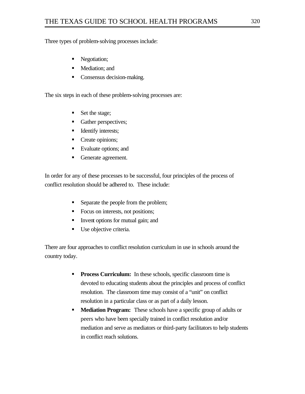Three types of problem-solving processes include:

- Negotiation;
- **•** Mediation; and
- Consensus decision-making.

The six steps in each of these problem-solving processes are:

- Set the stage;
- Gather perspectives;
- **IDENTIFY interests;**
- Create opinions;
- Evaluate options; and
- Generate agreement.

In order for any of these processes to be successful, four principles of the process of conflict resolution should be adhered to. These include:

- Separate the people from the problem;
- Focus on interests, not positions;
- Invent options for mutual gain; and
- **Use objective criteria.**

There are four approaches to conflict resolution curriculum in use in schools around the country today.

- **Process Curriculum:** In these schools, specific classroom time is devoted to educating students about the principles and process of conflict resolution. The classroom time may consist of a "unit" on conflict resolution in a particular class or as part of a daily lesson.
- **Mediation Program:** These schools have a specific group of adults or peers who have been specially trained in conflict resolution and/or mediation and serve as mediators or third-party facilitators to help students in conflict reach solutions.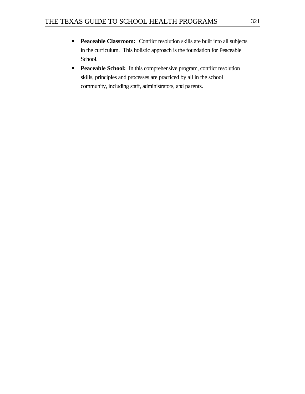- **Peaceable Classroom:** Conflict resolution skills are built into all subjects in the curriculum. This holistic approach is the foundation for Peaceable School.
- **•** Peaceable School: In this comprehensive program, conflict resolution skills, principles and processes are practiced by all in the school community, including staff, administrators, and parents.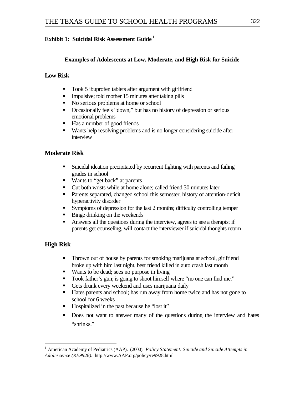## **Exhibit 1: Suicidal Risk Assessment Guide** <sup>1</sup>

## **Examples of Adolescents at Low, Moderate, and High Risk for Suicide**

## **Low Risk**

- **Took 5 ibuprofen tablets after argument with girlfriend**
- **IMPULS** Impulsive; told mother 15 minutes after taking pills
- No serious problems at home or school
- Occasionally feels "down," but has no history of depression or serious emotional problems
- $\blacksquare$  Has a number of good friends
- Wants help resolving problems and is no longer considering suicide after interview

## **Moderate Risk**

- **Suicidal ideation precipitated by recurrent fighting with parents and failing** grades in school
- Wants to "get back" at parents
- Cut both wrists while at home alone; called friend 30 minutes later
- **Parents separated, changed school this semester, history of attention-deficit** hyperactivity disorder
- Symptoms of depression for the last 2 months; difficulty controlling temper
- $\blacksquare$  Binge drinking on the weekends
- **•** Answers all the questions during the interview, agrees to see a therapist if parents get counseling, will contact the interviewer if suicidal thoughts return

## **High Risk**

- Thrown out of house by parents for smoking marijuana at school, girlfriend broke up with him last night, best friend killed in auto crash last month
- Wants to be dead; sees no purpose in living
- Took father's gun; is going to shoot himself where "no one can find me."
- Gets drunk every weekend and uses marijuana daily
- Hates parents and school; has run away from home twice and has not gone to school for 6 weeks
- Hospitalized in the past because he "lost it"
- Does not want to answer many of the questions during the interview and hates "shrinks."

 $\overline{a}$ <sup>1</sup> American Academy of Pediatrics (AAP). (2000). *Policy Statement: Suicide and Suicide Attempts in Adolescence (RE9928).* <http://www.AAP.org/policy/re9928.html>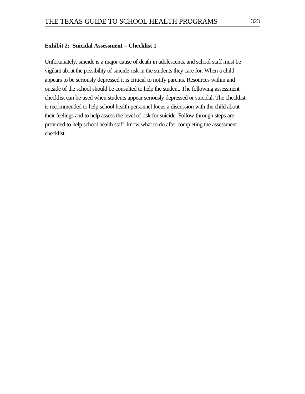#### **Exhibit 2: Suicidal Assessment – Checklist 1**

Unfortunately, suicide is a major cause of death in adolescents, and school staff must be vigilant about the possibility of suicide risk in the students they care for. When a child appears to be seriously depressed it is critical to notify parents. Resources within and outside of the school should be consulted to help the student. The following assessment checklist can be used when students appear seriously depressed or suicidal. The checklist is recommended to help school health personnel focus a discussion with the child about their feelings and to help assess the level of risk for suicide. Follow-through steps are provided to help school health staff know what to do after completing the assessment checklist.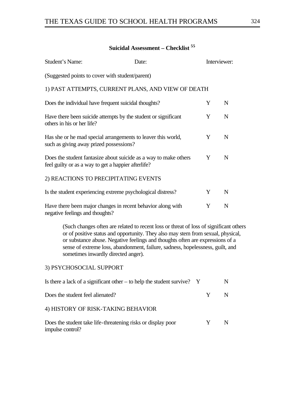# **Suicidal Assessment – Checklist <sup>55</sup>**

| Student's Name:                                                                                                         | Date: | Interviewer: |             |  |  |
|-------------------------------------------------------------------------------------------------------------------------|-------|--------------|-------------|--|--|
| (Suggested points to cover with student/parent)                                                                         |       |              |             |  |  |
| 1) PAST ATTEMPTS, CURRENT PLANS, AND VIEW OF DEATH                                                                      |       |              |             |  |  |
| Does the individual have frequent suicidal thoughts?                                                                    |       | Y            | N           |  |  |
| Have there been suicide attempts by the student or significant<br>others in his or her life?                            |       | Y            | $\mathbf N$ |  |  |
| Has she or he mad special arrangements to leaver this world,<br>such as giving away prized possessions?                 |       | Y            | N           |  |  |
| Does the student fantasize about suicide as a way to make others<br>feel guilty or as a way to get a happier afterlife? |       | Y            | N           |  |  |
| 2) REACTIONS TO PRECIPITATING EVENTS                                                                                    |       |              |             |  |  |
| Is the student experiencing extreme psychological distress?                                                             |       | Y            | N           |  |  |
| Have there been major changes in recent behavior along with<br>negative feelings and thoughts?                          |       | Y            | N           |  |  |

(Such changes often are related to recent loss or threat of loss of significant others or of positive status and opportunity. They also may stem from sexual, physical, or substance abuse. Negative feelings and thoughts often are expressions of a sense of extreme loss, abandonment, failure, sadness, hopelessness, guilt, and sometimes inwardly directed anger).

### 3) PSYCHOSOCIAL SUPPORT

| Is there a lack of a significant other – to help the student survive? $Y$        |   | N |
|----------------------------------------------------------------------------------|---|---|
| Does the student feel alienated?                                                 | Y | N |
| 4) HISTORY OF RISK-TAKING BEHAVIOR                                               |   |   |
| Does the student take life-threatening risks or display poor<br>impulse control? | Y | N |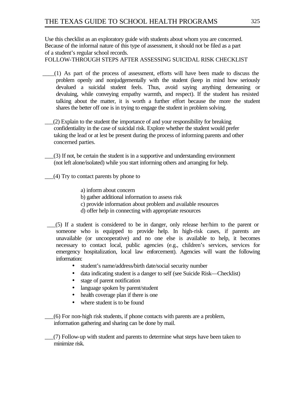Use this checklist as an exploratory guide with students about whom you are concerned. Because of the informal nature of this type of assessment, it should not be filed as a part of a student's regular school records.

FOLLOW-THROUGH STEPS AFTER ASSESSING SUICIDAL RISK CHECKLIST

- \_\_\_\_(1) As part of the process of assessment, efforts will have been made to discuss the problem openly and nonjudgementally with the student (keep in mind how seriously devalued a suicidal student feels. Thus, avoid saying anything demeaning or devaluing, while conveying empathy warmth, and respect). If the student has resisted talking about the matter, it is worth a further effort because the more the student shares the better off one is in trying to engage the student in problem solving.
- \_\_\_(2) Explain to the student the importance of and your responsibility for breaking confidentiality in the case of suicidal risk. Explore whether the student would prefer taking the lead or at lest be present during the process of informing parents and other concerned parties.
- \_\_\_(3) If not, be certain the student is in a supportive and understanding environment (not left alone/isolated) while you start informing others and arranging for help.
- $(4)$  Try to contact parents by phone to
	- a) inform about concern
	- b) gather additional information to assess risk
	- c) provide information about problem and available resources
	- d) offer help in connecting with appropriate resources
- \_\_\_(5) If a student is considered to be in danger, only release her/him to the parent or someone who is equipped to provide help. In high-risk cases, if parents are unavailable (or uncooperative) and no one else is available to help, it becomes necessary to contact local, public agencies (e.g., children's services, services for emergency hospitalization, local law enforcement). Agencies will want the following information:
	- student's name/address/birth date/social security number
	- data indicating student is a danger to self (see Suicide Risk—Checklist)
	- stage of parent notification
	- language spoken by parent/student
	- health coverage plan if there is one
	- where student is to be found

\_\_\_(6) For non-high risk students, if phone contacts with parents are a problem, information gathering and sharing can be done by mail.

\_\_\_(7) Follow-up with student and parents to determine what steps have been taken to minimize risk.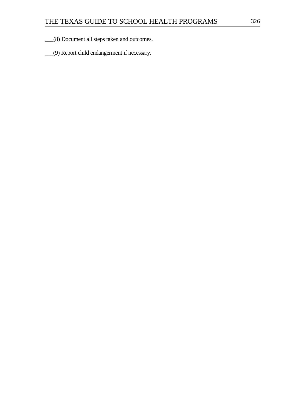\_\_\_(8) Document all steps taken and outcomes.

\_\_\_(9) Report child endangerment if necessary.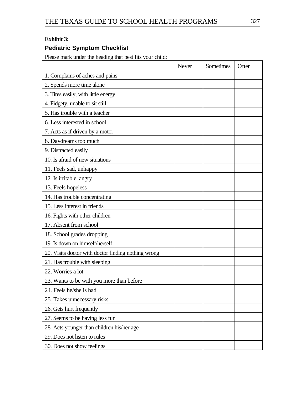## **Exhibit 3:**

# **Pediatric Symptom Checklist**

Please mark under the heading that best fits your child:

|                                                     | Never | Sometimes | Often |
|-----------------------------------------------------|-------|-----------|-------|
| 1. Complains of aches and pains                     |       |           |       |
| 2. Spends more time alone                           |       |           |       |
| 3. Tires easily, with little energy                 |       |           |       |
| 4. Fidgety, unable to sit still                     |       |           |       |
| 5. Has trouble with a teacher                       |       |           |       |
| 6. Less interested in school                        |       |           |       |
| 7. Acts as if driven by a motor                     |       |           |       |
| 8. Daydreams too much                               |       |           |       |
| 9. Distracted easily                                |       |           |       |
| 10. Is afraid of new situations                     |       |           |       |
| 11. Feels sad, unhappy                              |       |           |       |
| 12. Is irritable, angry                             |       |           |       |
| 13. Feels hopeless                                  |       |           |       |
| 14. Has trouble concentrating                       |       |           |       |
| 15. Less interest in friends                        |       |           |       |
| 16. Fights with other children                      |       |           |       |
| 17. Absent from school                              |       |           |       |
| 18. School grades dropping                          |       |           |       |
| 19. Is down on himself/herself                      |       |           |       |
| 20. Visits doctor with doctor finding nothing wrong |       |           |       |
| 21. Has trouble with sleeping                       |       |           |       |
| 22. Worries a lot                                   |       |           |       |
| 23. Wants to be with you more than before           |       |           |       |
| 24. Feels he/she is bad                             |       |           |       |
| 25. Takes unnecessary risks                         |       |           |       |
| 26. Gets hurt frequently                            |       |           |       |
| 27. Seems to be having less fun                     |       |           |       |
| 28. Acts younger than children his/her age          |       |           |       |
| 29. Does not listen to rules                        |       |           |       |
| 30. Does not show feelings                          |       |           |       |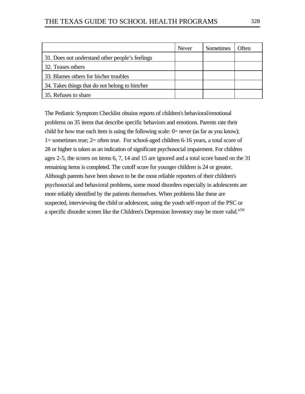|                                                 | Never | Sometimes | Often |
|-------------------------------------------------|-------|-----------|-------|
| 31. Does not understand other people's feelings |       |           |       |
| 32. Teases others                               |       |           |       |
| 33. Blames others for his/her troubles          |       |           |       |
| 34. Takes things that do not belong to him/her  |       |           |       |
| 35. Refuses to share                            |       |           |       |

The Pediatric Symptom Checklist obtains reports of children's behavioral/emotional problems on 35 items that describe specific behaviors and emotions. Parents rate their child for how true each item is using the following scale:  $0=$  never (as far as you know); 1= sometimes true; 2= often true. For school-aged children 6-16 years, a total score of 28 or higher is taken as an indication of significant psychosocial impairment. For children ages 2-5, the scores on items 6, 7, 14 and 15 are ignored and a total score based on the 31 remaining items is completed. The cutoff score for younger children is 24 or greater. Although parents have been shown to be the most reliable reporters of their children's psychosocial and behavioral problems, some mood disorders especially in adolescents are more reliably identified by the patients themselves. When problems like these are suspected, interviewing the child or adolescent, using the youth self-report of the PSC or a specific disorder screen like the Children's Depression Inventory may be more valid."<sup>56</sup>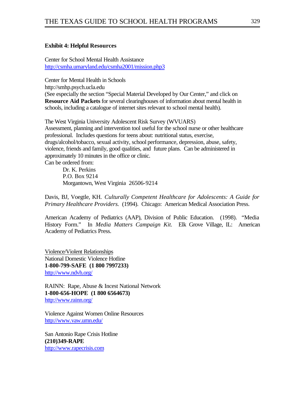### **Exhibit 4: Helpful Resources**

Center for School Mental Health Assistance <http://csmha.umaryland.edu/csmha2001/mission.php3>

Center for Mental Health in Schools <http://smhp.psych.ucla.edu> (See especially the section "Special Material Developed by Our Center," and click on **Resource Aid Packets** for several clearinghouses of information about mental health in schools, including a catalogue of internet sites relevant to school mental health).

The West Virginia University Adolescent Risk Survey (WVUARS) Assessment, planning and intervention tool useful for the school nurse or other healthcare professional. Includes questions for teens about: nutritional status, exercise, drugs/alcohol/tobacco, sexual activity, school performance, depression, abuse, safety, violence, friends and family, good qualities, and future plans. Can be administered in approximately 10 minutes in the office or clinic. Can be ordered from:

Dr. K. Perkins P.O. Box 9214 Morgantown, West Virginia 26506-9214

Davis, BJ, Voegtle, KH. *Culturally Competent Healthcare for Adolescents: A Guide for Primary Healthcare Providers.* (1994). Chicago: American Medical Association Press.

American Academy of Pediatrics (AAP), Division of Public Education. (1998). "Media History Form." In *Media Matters Campaign Kit.* Elk Grove Village, IL: American Academy of Pediatrics Press.

Violence/Violent Relationships National Domestic Violence Hotline **1-800-799-SAFE (1 800 7997233)** <http://www.ndvh.org/>

RAINN: Rape, Abuse & Incest National Network **1-800-656-HOPE (1 800 6564673)** <http://www.rainn.org/>

Violence Against Women Online Resources <http://www.vaw.umn.edu/>

San Antonio Rape Crisis Hotline **(210)349-RAPE** <http://www.rapecrisis.com>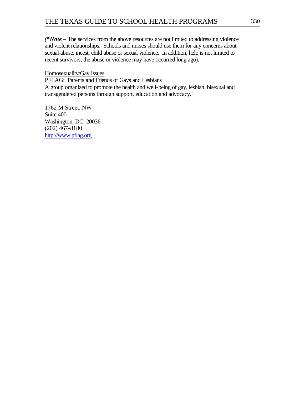*(\*Note –* The services from the above resources are not limited to addressing violence and violent relationships. Schools and nurses should use them for any concerns about sexual abuse, incest, child abuse or sexual violence. In addition, help is not limited to recent survivors; the abuse or violence may have occurred long ago).

### Homosexuality/Gay Issues

PFLAG: Parents and Friends of Gays and Lesbians A group organized to promote the health and well-being of gay, lesbian, bisexual and transgendered persons through support, education and advocacy.

1762 M Street, NW Suite 400 Washington, DC 20036 (202) 467-8180 <http://www.pflag.org>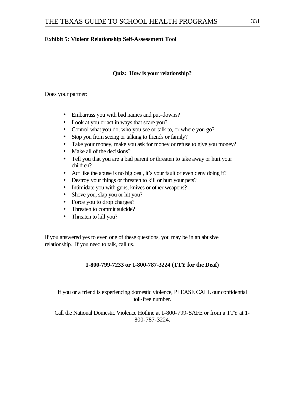## **Exhibit 5: Violent Relationship Self-Assessment Tool**

### **Quiz: How is your relationship?**

Does your partner:

- Embarrass you with bad names and put-downs?
- Look at you or act in ways that scare you?
- Control what you do, who you see or talk to, or where you go?
- Stop you from seeing or talking to friends or family?
- Take your money, make you ask for money or refuse to give you money?
- Make all of the decisions?
- Tell you that you are a bad parent or threaten to take away or hurt your children?
- Act like the abuse is no big deal, it's your fault or even deny doing it?
- Destroy your things or threaten to kill or hurt your pets?
- Intimidate you with guns, knives or other weapons?
- Shove you, slap you or hit you?
- Force you to drop charges?
- Threaten to commit suicide?
- Threaten to kill you?

If you answered yes to even one of these questions, you may be in an abusive relationship. If you need to talk, call us.

## **1-800-799-7233 or 1-800-787-3224 (TTY for the Deaf)**

If you or a friend is experiencing domestic violence, PLEASE CALL our confidential toll-free number.

Call the National Domestic Violence Hotline at 1-800-799-SAFE or from a TTY at 1- 800-787-3224.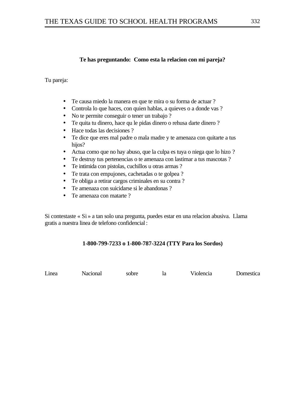## **Te has preguntando: Como esta la relacion con mi pareja?**

Tu pareja:

- Te causa miedo la manera en que te mira o su forma de actuar ?
- Controla lo que haces, con quien hablas, a quieves o a donde vas ?
- No te permite conseguir o tener un trabajo ?
- Te quita tu dinero, hace qu le pidas dinero o rehusa darte dinero ?
- Hace todas las decisiones ?
- Te dice que eres mal padre o mala madre y te amenaza con quitarte a tus hijos?
- Actua como que no hay abuso, que la culpa es tuya o niega que lo hizo ?
- Te destruy tus pertenencias o te amenaza con lastimar a tus mascotas ?
- Te intimida con pistolas, cuchillos u otras armas ?
- Te trata con empujones, cachetadas o te golpea ?
- Te obliga a retirar cargos criminales en su contra ?
- Te amenaza con suicidarse si le abandonas ?
- Te amenaza con matarte?

Si contestaste « Si » a tan solo una pregunta, puedes estar en una relacion abusiva. Llama gratis a nuestra linea de telefono confidencial :

## **1-800-799-7233 o 1-800-787-3224 (TTY Para los Sordos)**

| т.<br>Linea | <b>Nacional</b> | sobre | Violencia | Domestica |
|-------------|-----------------|-------|-----------|-----------|
|             |                 |       |           |           |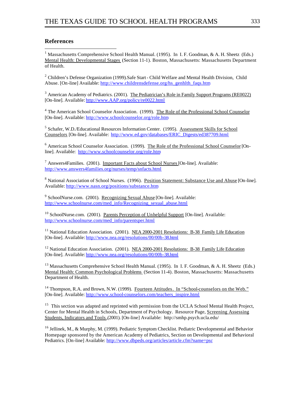### **References**

<sup>1</sup> Massachusetts Comprehensive School Health Manual. (1995). In I. F. Goodman, & A. H. Sheetz (Eds.) Mental Health: Developmental Stages (Section 11-1). Boston, Massachusetts: Massachusetts Department of Health.

<sup>2</sup> Children's Defense Organization (1999).Safe Start - Child Welfare and Mental Health Division, Child Abuse. [On-line] Available: [http://www.childrensdefense.org/hs\\_genhlth\\_faqs.htm](http://www.childrensdefense.org/hs_genhlth_faqs.htm)

<sup>3</sup> American Academy of Pediatrics. (2001). The Pediatrician's Role in Family Support Programs (RE0022) [On-line]. Available: <http://www.AAP.org/policy/re0022.html>

4 The American School Counselor Association. (1999). The Role of the Professional School Counselor [On-line]. Available:<http://www.schoolcounselor.org/role.htm>

<sup>5</sup> Schafer, W.D./Educational Resources Information Center. (1995). Assessment Skills for School Counselors [On-line]. Available:[http://www.ed.gov/databases/ERIC\\_Digests/ed387709.html](http://www.ed.gov/databases/ERIC_Digests/ed387709.html)

<sup>6</sup> American School Counselor Association. (1999). The Role of the Professional School Counselor [Online]. Available: <http://www.schoolcounselor.org/role.htm>

<sup>7</sup> Answers4Families. (2001). Important Facts about School Nurses [On-line]. Available: <http://www.answers4families.org/nurses/temp/snfacts.html>

<sup>8</sup> National Association of School Nurses. (1996). Position Statement: Substance Use and Abuse [On-line]. Available: <http://www.nasn.org/positions/substance.htm>

<sup>9</sup> SchoolNurse.com. (2001). Recognizing Sexual Abuse [On-line]. Available: [http://www.schoolnurse.com/med\\_info/Recognizing\\_sexual\\_abuse.html](http://www.schoolnurse.com/med_info/Recognizing_sexual_abuse.html)

<sup>10</sup> SchoolNurse.com. (2001). Parents Perception of Unhelpful Support [On-line]. Available: [http://www.schoolnurse.com/med\\_info/parentsper.html](http://www.schoolnurse.com/med_info/parentsper.html)

<sup>11</sup> National Education Association. (2001). NEA 2000-2001 Resolutions: B-38 Family Life Education [On-line]. Available: <http://www.nea.org/resolutions/00/00b-38.html>

<sup>12</sup> National Education Association. (2001). NEA 2000-2001 Resolutions: B-38 Family Life Education [On-line]. Available: <http://www.nea.org/resolutions/00/00b-38.html>

<sup>13</sup> Massachusetts Comprehensive School Health Manual. (1995). In I. F. Goodman, & A. H. Sheetz (Eds.) Mental Health: Common Psychological Problems (Section 11-4). Boston, Massachusetts: Massachusetts Department of Health.

<sup>14</sup> Thompson, R.A. and Brown, N.W. (1999). Fourteen Attitudes. In "School-counselors on the Web." [On-line]. Available: [http://www.school-counselors.com/teachers\\_inspire.html](http://www.school-counselors.com/teachers_inspire.html)

<sup>15</sup> This section was adapted and reprinted with permission from the UCLA School Mental Health Project, Center for Mental Health in Schools, Department of Psychology. Resource Page, Screening Assessing Students, Indicators and Tools,(2001). [On-line] Available: <http://smhp.psych.ucla.edu/>

<sup>16</sup> Jellinek, M., & Murphy, M. (1999). Pediatric Symptom Checklist. Pediatric Developmental and Behavior Homepage sponsored by the American Academy of Pediatrics, Section on Developmental and Behavioral Pediatrics. [On-line] Available: <http://www.dbpeds.org/articles/article.cfm?name=psc>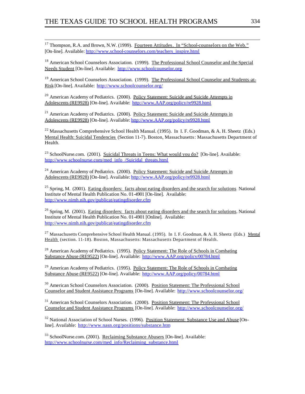$\overline{a}$ 

<sup>17</sup> Thompson, R.A. and Brown, N.W. (1999). Fourteen Attitudes. In "School-counselors on the Web." [On-line]. Available: [http://www.school-counselors.com/teachers\\_inspire.html](http://www.school-counselors.com/teachers_inspire.html)

<sup>18</sup> American School Counselors Association. (1999). The Professional School Counselor and the Special Needs Student [On-line]. Available: <http://www.schoolcounselor.org>

<sup>19</sup> American School Counselors Association. (1999). The Professional School Counselor and Students-at-Risk [On-line]. Available:<http://www.schoolcounselor.org/>

<sup>20</sup> American Academy of Pediatrics. (2000). Policy Statement: Suicide and Suicide Attempts in Adolescents (RE9928) [On-line]. Available:<http://www.AAP.org/policy/re9928.html>

 $21$  American Academy of Pediatrics. (2000). Policy Statement: Suicide and Suicide Attempts in Adolescents (RE9928) [On-line]. Available: <http://www.AAP.org/policy/re9928.html>

<sup>22</sup> Massachusetts Comprehensive School Health Manual. (1995). In I. F. Goodman, & A. H. Sheetz (Eds.) Mental Health: Suicidal Tendencies (Section 11-7). Boston, Massachusetts: Massachusetts Department of Health.

<sup>23</sup> SchoolNurse.com. (2001). Suicidal Threats in Teens: What would you do?[On-line]. Available: [http://www.schoolnurse.com/med\\_info\\_/Suicidal\\_threats.html](http://www.schoolnurse.com/med_info_/Suicidal_threats.html)

 $24$  American Academy of Pediatrics. (2000). Policy Statement: Suicide and Suicide Attempts in Adolescents (RE9928) [On-line]. Available: <http://www.AAP.org/policy/re9928.html>

<sup>25</sup> Spring, M. (2001). Eating disorders: facts about eating disorders and the search for solutions National Institute of Mental Health Publication No. 01-4901 [On-line]. Available: <http://www.nimh.nih.gov/publicat/eatingdisorder.cfm>

 $^{26}$  Spring, M. (2001). Eating disorders: facts about eating disorders and the search for solutions. National Institute of Mental Health Publication No. 01-4901 [Online]. Available: <http://www.nimh.nih.gov/publicat/eatingdisorder.cfm>

<sup>27</sup> Massachusetts Comprehensive School Health Manual. (1995). In I. F. Goodman, & A. H. Sheetz (Eds.) Mental Health (section. 11-18). Boston, Massachusetts: Massachusetts Department of Health.

 $^{28}$  American Academy of Pediatrics. (1995). Policy Statement: The Role of Schools in Combating Substance Abuse (RE9522) [On-line]. Available: <http://www.AAP.org/policy/00784.html>

<sup>29</sup> American Academy of Pediatrics. (1995). Policy Statement: The Role of Schools in Combating Substance Abuse (RE9522) [On-line]. Available: <http://www.AAP.org/policy/00784.html>

<sup>30</sup> American School Counselors Association. (2000). Position Statement: The Professional School Counselor and Student Assistance Programs [On-line]. Available:<http://www.schoolcounselor.org/>

<sup>31</sup> American School Counselors Association. (2000). Position Statement: The Professional School Counselor and Student Assistance Programs [On-line]. Available:<http://www.schoolcounselor.org/>

<sup>32</sup> National Association of School Nurses. (1996). Position Statement: Substance Use and Abuse [Online]. Available:<http://www.nasn.org/positions/substance.htm>

<sup>33</sup> SchoolNurse.com. (2001). Reclaiming Substance Abusers [On-line]. Available: [http://www.schoolnurse.com/med\\_info/Reclaiming\\_substance.html](http://www.schoolnurse.com/med_info/Reclaiming_substance.html)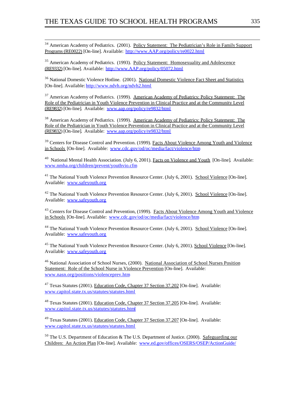$\overline{a}$ 

<sup>34</sup> American Academy of Pediatrics. (2001). Policy Statement: The Pediatrician's Role in Family Support Programs (RE0022) [On-line]. Available:<http://www.AAP.org/policy/re0022.html>

<sup>35</sup> American Academy of Pediatrics. (1993). Policy Statement: Homosexuality and Adolescence (RE9332) [On-line]. Available: <http://www.AAP.org/policy/05072.html>

<sup>36</sup> National Domestic Violence Hotline. (2001). National Domestic Violence Fact Sheet and Statistics [On-line]. Available: <http://www.ndvh.org/ndvh2.html>

<sup>37</sup> American Academy of Pediatrics. (1999). American Academy of Pediatrics: Policy Statement: The Role of the Pediatrician in Youth Violence Prevention in Clinical Practice and at the Community Level (RE9832) [On-line]*.* Available: www.aap.org/policy/re9832/html

<sup>38</sup> American Academy of Pediatrics. (1999). American Academy of Pediatrics: Policy Statement: The Role of the Pediatrician in Youth Violence Prevention in Clinical Practice and at the Community Level (RE9832) [On-line]*.* Available: www.aap.org/policy/re9832/html

<sup>39</sup> Centers for Disease Control and Prevention. (1999). Facts About Violence Among Youth and Violence in Schools [On-line]. Available: www.cdc.gov/od/oc/media/fact/violence/htm

<sup>40</sup> National Mental Health Association. (July 6, 2001). Facts on Violence and Youth [On-line]*.* Available: www.nmha.org/children/prevent/youthvio.cfm

<sup>41</sup> The National Youth Violence Prevention Resource Center. (July 6, 2001). School Violence [On-line]. Available: www.safeyouth.org

<sup>42</sup> The National Youth Violence Prevention Resource Center. (July 6, 2001). School Violence [On-line]. Available: www.safeyouth.org

<sup>43</sup> Centers for Disease Control and Prevention, (1999). Facts About Violence Among Youth and Violence in Schools [On-line]. Available: www.cdc.gov/od/oc/media/fact/violence/htm

<sup>44</sup> The National Youth Violence Prevention Resource Center. (July 6, 2001). School Violence [On-line]. Available: www.safeyouth.org

<sup>45</sup> The National Youth Violence Prevention Resource Center. (July 6, 2001). School Violence [On-line]. Available: www.safeyouth.org

<sup>46</sup> National Association of School Nurses, (2000). National Association of School Nurses Position Statement: Role of the School Nurse in Violence Prevention [On-line]. Available: www.nasn.org/positions/violenceprev.htm

<sup>47</sup> Texas Statutes (2001). Education Code, Chapter 37 Section 37.202 [On-line]. Available: www.capitol.state.tx.us/statutes/statutes.html

<sup>48</sup> Texas Statutes (2001). Education Code, Chapter 37 Section 37.205 [On-line]. Available: www.capitol.state.tx.us/statutes/statutes.html

<sup>49</sup> Texas Statutes (2001). Education Code, Chapter 37 Section 37.207 [On-line]. Available: www.capitol.state.tx.us/statutes/statutes.html

 $50$  The U.S. Department of Education & The U.S. Department of Justice. (2000). Safeguarding our Children: An Action Plan [On-line]. Available: www.ed.gov/offices/OSERS/OSEP/ActionGuide/